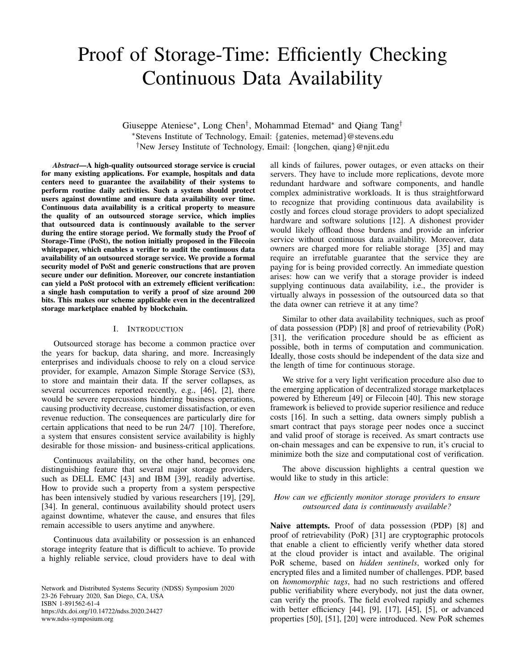# Proof of Storage-Time: Efficiently Checking Continuous Data Availability

Giuseppe Ateniese<sup>∗</sup> , Long Chen† , Mohammad Etemad<sup>∗</sup> and Qiang Tang† <sup>∗</sup>Stevens Institute of Technology, Email: {gatenies, metemad}@stevens.edu †New Jersey Institute of Technology, Email: {longchen, qiang}@njit.edu

*Abstract*—A high-quality outsourced storage service is crucial for many existing applications. For example, hospitals and data centers need to guarantee the availability of their systems to perform routine daily activities. Such a system should protect users against downtime and ensure data availability over time. Continuous data availability is a critical property to measure the quality of an outsourced storage service, which implies that outsourced data is continuously available to the server during the entire storage period. We formally study the Proof of Storage-Time (PoSt), the notion initially proposed in the Filecoin whitepaper, which enables a verifier to audit the continuous data availability of an outsourced storage service. We provide a formal security model of PoSt and generic constructions that are proven secure under our definition. Moreover, our concrete instantiation can yield a PoSt protocol with an extremely efficient verification: a single hash computation to verify a proof of size around 200 bits. This makes our scheme applicable even in the decentralized storage marketplace enabled by blockchain.

## I. INTRODUCTION

Outsourced storage has become a common practice over the years for backup, data sharing, and more. Increasingly enterprises and individuals choose to rely on a cloud service provider, for example, Amazon Simple Storage Service (S3), to store and maintain their data. If the server collapses, as several occurrences reported recently, e.g., [\[46\]](#page-13-0), [\[2\]](#page-13-1), there would be severe repercussions hindering business operations, causing productivity decrease, customer dissatisfaction, or even revenue reduction. The consequences are particularly dire for certain applications that need to be run 24/7 [\[10\]](#page-13-2). Therefore, a system that ensures consistent service availability is highly desirable for those mission- and business-critical applications.

Continuous availability, on the other hand, becomes one distinguishing feature that several major storage providers, such as DELL EMC [\[43\]](#page-13-3) and IBM [\[39\]](#page-13-4), readily advertise. How to provide such a property from a system perspective has been intensively studied by various researchers [\[19\]](#page-13-5), [\[29\]](#page-13-6), [\[34\]](#page-13-7). In general, continuous availability should protect users against downtime, whatever the cause, and ensures that files remain accessible to users anytime and anywhere.

Continuous data availability or possession is an enhanced storage integrity feature that is difficult to achieve. To provide a highly reliable service, cloud providers have to deal with

Network and Distributed Systems Security (NDSS) Symposium 2020 23-26 February 2020, San Diego, CA, USA ISBN 1-891562-61-4 https://dx.doi.org/10.14722/ndss.2020.24427 www.ndss-symposium.org

all kinds of failures, power outages, or even attacks on their servers. They have to include more replications, devote more redundant hardware and software components, and handle complex administrative workloads. It is thus straightforward to recognize that providing continuous data availability is costly and forces cloud storage providers to adopt specialized hardware and software solutions [\[12\]](#page-13-8). A dishonest provider would likely offload those burdens and provide an inferior service without continuous data availability. Moreover, data owners are charged more for reliable storage [\[35\]](#page-13-9) and may require an irrefutable guarantee that the service they are paying for is being provided correctly. An immediate question arises: how can we verify that a storage provider is indeed supplying continuous data availability, i.e., the provider is virtually always in possession of the outsourced data so that the data owner can retrieve it at any time?

Similar to other data availability techniques, such as proof of data possession (PDP) [\[8\]](#page-13-10) and proof of retrievability (PoR) [\[31\]](#page-13-11), the verification procedure should be as efficient as possible, both in terms of computation and communication. Ideally, those costs should be independent of the data size and the length of time for continuous storage.

We strive for a very light verification procedure also due to the emerging application of decentralized storage marketplaces powered by Ethereum [\[49\]](#page-14-0) or Filecoin [\[40\]](#page-13-12). This new storage framework is believed to provide superior resilience and reduce costs [\[16\]](#page-13-13). In such a setting, data owners simply publish a smart contract that pays storage peer nodes once a succinct and valid proof of storage is received. As smart contracts use on-chain messages and can be expensive to run, it's crucial to minimize both the size and computational cost of verification.

The above discussion highlights a central question we would like to study in this article:

# *How can we efficiently monitor storage providers to ensure outsourced data is continuously available?*

Naive attempts. Proof of data possession (PDP) [\[8\]](#page-13-10) and proof of retrievability (PoR) [\[31\]](#page-13-11) are cryptographic protocols that enable a client to efficiently verify whether data stored at the cloud provider is intact and available. The original PoR scheme, based on *hidden sentinels*, worked only for encrypted files and a limited number of challenges. PDP, based on *homomorphic tags*, had no such restrictions and offered public verifiability where everybody, not just the data owner, can verify the proofs. The field evolved rapidly and schemes with better efficiency [\[44\]](#page-13-14), [\[9\]](#page-13-15), [\[17\]](#page-13-16), [\[45\]](#page-13-17), [\[5\]](#page-13-18), or advanced properties [\[50\]](#page-14-1), [\[51\]](#page-14-2), [\[20\]](#page-13-19) were introduced. New PoR schemes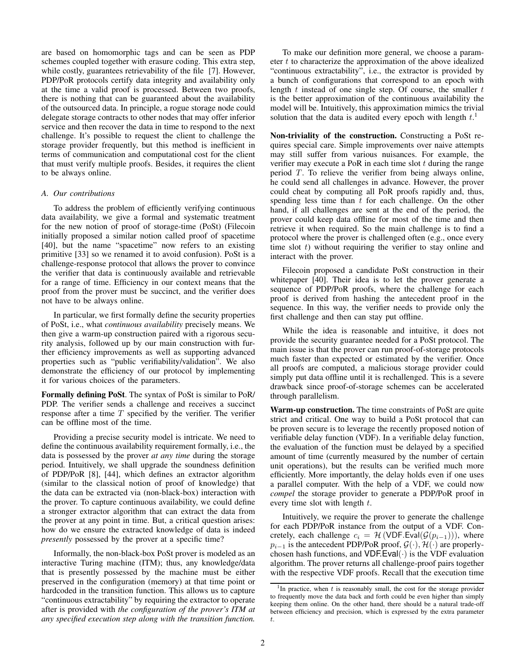are based on homomorphic tags and can be seen as PDP schemes coupled together with erasure coding. This extra step, while costly, guarantees retrievability of the file [\[7\]](#page-13-20). However, PDP/PoR protocols certify data integrity and availability only at the time a valid proof is processed. Between two proofs, there is nothing that can be guaranteed about the availability of the outsourced data. In principle, a rogue storage node could delegate storage contracts to other nodes that may offer inferior service and then recover the data in time to respond to the next challenge. It's possible to request the client to challenge the storage provider frequently, but this method is inefficient in terms of communication and computational cost for the client that must verify multiple proofs. Besides, it requires the client to be always online.

## *A. Our contributions*

To address the problem of efficiently verifying continuous data availability, we give a formal and systematic treatment for the new notion of proof of storage-time (PoSt) (Filecoin initially proposed a similar notion called proof of spacetime [\[40\]](#page-13-12), but the name "spacetime" now refers to an existing primitive [\[33\]](#page-13-21) so we renamed it to avoid confusion). PoSt is a challenge-response protocol that allows the prover to convince the verifier that data is continuously available and retrievable for a range of time. Efficiency in our context means that the proof from the prover must be succinct, and the verifier does not have to be always online.

In particular, we first formally define the security properties of PoSt, i.e., what *continuous availability* precisely means. We then give a warm-up construction paired with a rigorous security analysis, followed up by our main construction with further efficiency improvements as well as supporting advanced properties such as "public verifiability/validation". We also demonstrate the efficiency of our protocol by implementing it for various choices of the parameters.

Formally defining PoSt. The syntax of PoSt is similar to PoR/ PDP. The verifier sends a challenge and receives a succinct response after a time  $T$  specified by the verifier. The verifier can be offline most of the time.

Providing a precise security model is intricate. We need to define the continuous availability requirement formally, i.e., the data is possessed by the prover *at any time* during the storage period. Intuitively, we shall upgrade the soundness definition of PDP/PoR [\[8\]](#page-13-10), [\[44\]](#page-13-14), which defines an extractor algorithm (similar to the classical notion of proof of knowledge) that the data can be extracted via (non-black-box) interaction with the prover. To capture continuous availability, we could define a stronger extractor algorithm that can extract the data from the prover at any point in time. But, a critical question arises: how do we ensure the extracted knowledge of data is indeed *presently* possessed by the prover at a specific time?

Informally, the non-black-box PoSt prover is modeled as an interactive Turing machine (ITM); thus, any knowledge/data that is presently possessed by the machine must be either preserved in the configuration (memory) at that time point or hardcoded in the transition function. This allows us to capture "continuous extractability" by requiring the extractor to operate after is provided with *the configuration of the prover's ITM at any specified execution step along with the transition function.*

To make our definition more general, we choose a parameter  $t$  to characterize the approximation of the above idealized "continuous extractability", i.e., the extractor is provided by a bunch of configurations that correspond to an epoch with length  $t$  instead of one single step. Of course, the smaller  $t$ is the better approximation of the continuous availability the model will be. Intuitively, this approximation mimics the trivial solution that the data is audited every epoch with length  $t<sup>1</sup>$  $t<sup>1</sup>$  $t<sup>1</sup>$ .

Non-triviality of the construction. Constructing a PoSt requires special care. Simple improvements over naive attempts may still suffer from various nuisances. For example, the verifier may execute a PoR in each time slot  $t$  during the range period T. To relieve the verifier from being always online, he could send all challenges in advance. However, the prover could cheat by computing all PoR proofs rapidly and, thus, spending less time than  $t$  for each challenge. On the other hand, if all challenges are sent at the end of the period, the prover could keep data offline for most of the time and then retrieve it when required. So the main challenge is to find a protocol where the prover is challenged often (e.g., once every time slot  $t$ ) without requiring the verifier to stay online and interact with the prover.

Filecoin proposed a candidate PoSt construction in their whitepaper [\[40\]](#page-13-12). Their idea is to let the prover generate a sequence of PDP/PoR proofs, where the challenge for each proof is derived from hashing the antecedent proof in the sequence. In this way, the verifier needs to provide only the first challenge and then can stay put offline.

While the idea is reasonable and intuitive, it does not provide the security guarantee needed for a PoSt protocol. The main issue is that the prover can run proof-of-storage protocols much faster than expected or estimated by the verifier. Once all proofs are computed, a malicious storage provider could simply put data offline until it is rechallenged. This is a severe drawback since proof-of-storage schemes can be accelerated through parallelism.

Warm-up construction. The time constraints of PoSt are quite strict and critical. One way to build a PoSt protocol that can be proven secure is to leverage the recently proposed notion of verifiable delay function (VDF). In a verifiable delay function, the evaluation of the function must be delayed by a specified amount of time (currently measured by the number of certain unit operations), but the results can be verified much more efficiently. More importantly, the delay holds even if one uses a parallel computer. With the help of a VDF, we could now *compel* the storage provider to generate a PDP/PoR proof in every time slot with length t.

Intuitively, we require the prover to generate the challenge for each PDP/PoR instance from the output of a VDF. Concretely, each challenge  $c_i = H (VDF.Eval(\mathcal{G}(p_{i-1}))),$  where  $p_{i-1}$  is the antecedent PDP/PoR proof,  $\mathcal{G}(\cdot)$ ,  $\mathcal{H}(\cdot)$  are properlychosen hash functions, and  $VDF.Eval(·)$  is the VDF evaluation algorithm. The prover returns all challenge-proof pairs together with the respective VDF proofs. Recall that the execution time

<span id="page-1-0"></span><sup>&</sup>lt;sup>1</sup>In practice, when  $t$  is reasonably small, the cost for the storage provider to frequently move the data back and forth could be even higher than simply keeping them online. On the other hand, there should be a natural trade-off between efficiency and precision, which is expressed by the extra parameter t.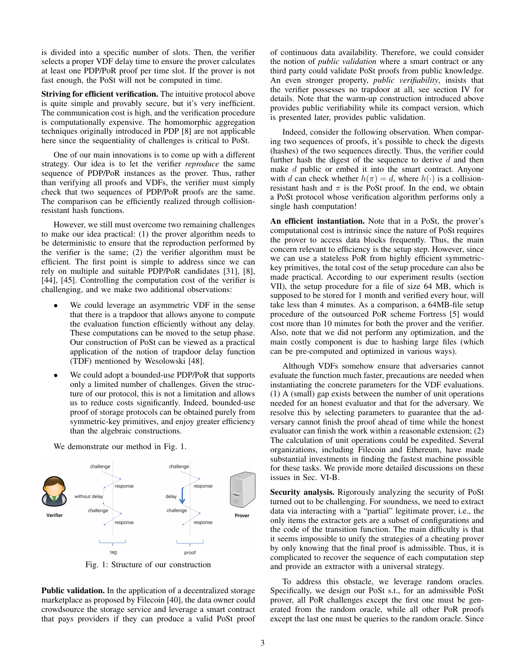is divided into a specific number of slots. Then, the verifier selects a proper VDF delay time to ensure the prover calculates at least one PDP/PoR proof per time slot. If the prover is not fast enough, the PoSt will not be computed in time.

Striving for efficient verification. The intuitive protocol above is quite simple and provably secure, but it's very inefficient. The communication cost is high, and the verification procedure is computationally expensive. The homomorphic aggregation techniques originally introduced in PDP [\[8\]](#page-13-10) are not applicable here since the sequentiality of challenges is critical to PoSt.

One of our main innovations is to come up with a different strategy. Our idea is to let the verifier *reproduce* the same sequence of PDP/PoR instances as the prover. Thus, rather than verifying all proofs and VDFs, the verifier must simply check that two sequences of PDP/PoR proofs are the same. The comparison can be efficiently realized through collisionresistant hash functions.

However, we still must overcome two remaining challenges to make our idea practical: (1) the prover algorithm needs to be deterministic to ensure that the reproduction performed by the verifier is the same; (2) the verifier algorithm must be efficient. The first point is simple to address since we can rely on multiple and suitable PDP/PoR candidates [\[31\]](#page-13-11), [\[8\]](#page-13-10), [\[44\]](#page-13-14), [\[45\]](#page-13-17). Controlling the computation cost of the verifier is challenging, and we make two additional observations:

- We could leverage an asymmetric VDF in the sense that there is a trapdoor that allows anyone to compute the evaluation function efficiently without any delay. These computations can be moved to the setup phase. Our construction of PoSt can be viewed as a practical application of the notion of trapdoor delay function (TDF) mentioned by Wesolowski [\[48\]](#page-13-22).
- We could adopt a bounded-use PDP/PoR that supports only a limited number of challenges. Given the structure of our protocol, this is not a limitation and allows us to reduce costs significantly. Indeed, bounded-use proof of storage protocols can be obtained purely from symmetric-key primitives, and enjoy greater efficiency than the algebraic constructions.

<span id="page-2-0"></span>challenge challenge response response delay without delav

We demonstrate our method in Fig. [1.](#page-2-0)

Fig. 1: Structure of our construction

Public validation. In the application of a decentralized storage marketplace as proposed by Filecoin [\[40\]](#page-13-12), the data owner could crowdsource the storage service and leverage a smart contract that pays providers if they can produce a valid PoSt proof of continuous data availability. Therefore, we could consider the notion of *public validation* where a smart contract or any third party could validate PoSt proofs from public knowledge. An even stronger property, *public verifiability*, insists that the verifier possesses no trapdoor at all, see section [IV](#page-4-0) for details. Note that the warm-up construction introduced above provides public verifiability while its compact version, which is presented later, provides public validation.

Indeed, consider the following observation. When comparing two sequences of proofs, it's possible to check the digests (hashes) of the two sequences directly. Thus, the verifier could further hash the digest of the sequence to derive  $d$  and then make d public or embed it into the smart contract. Anyone with d can check whether  $h(\pi) = d$ , where  $h(\cdot)$  is a collisionresistant hash and  $\pi$  is the PoSt proof. In the end, we obtain a PoSt protocol whose verification algorithm performs only a single hash computation!

An efficient instantiation. Note that in a PoSt, the prover's computational cost is intrinsic since the nature of PoSt requires the prover to access data blocks frequently. Thus, the main concern relevant to efficiency is the setup step. However, since we can use a stateless PoR from highly efficient symmetrickey primitives, the total cost of the setup procedure can also be made practical. According to our experiment results (section [VII\)](#page-11-0), the setup procedure for a file of size 64 MB, which is supposed to be stored for 1 month and verified every hour, will take less than 4 minutes. As a comparison, a 64MB-file setup procedure of the outsourced PoR scheme Fortress [\[5\]](#page-13-18) would cost more than 10 minutes for both the prover and the verifier. Also, note that we did not perform any optimization, and the main costly component is due to hashing large files (which can be pre-computed and optimized in various ways).

Although VDFs somehow ensure that adversaries cannot evaluate the function much faster, precautions are needed when instantiating the concrete parameters for the VDF evaluations. (1) A (small) gap exists between the number of unit operations needed for an honest evaluator and that for the adversary. We resolve this by selecting parameters to guarantee that the adversary cannot finish the proof ahead of time while the honest evaluator can finish the work within a reasonable extension; (2) The calculation of unit operations could be expedited. Several organizations, including Filecoin and Ethereum, have made substantial investments in finding the fastest machine possible for these tasks. We provide more detailed discussions on these issues in Sec. [VI-B.](#page-11-1)

Security analysis. Rigorously analyzing the security of PoSt turned out to be challenging. For soundness, we need to extract data via interacting with a "partial" legitimate prover, i.e., the only items the extractor gets are a subset of configurations and the code of the transition function. The main difficulty is that it seems impossible to unify the strategies of a cheating prover by only knowing that the final proof is admissible. Thus, it is complicated to recover the sequence of each computation step and provide an extractor with a universal strategy.

To address this obstacle, we leverage random oracles. Specifically, we design our PoSt s.t., for an admissible PoSt prover, all PoR challenges except the first one must be generated from the random oracle, while all other PoR proofs except the last one must be queries to the random oracle. Since

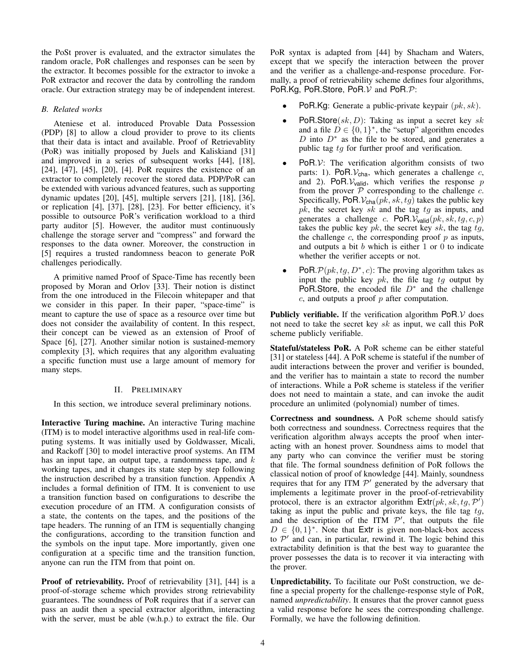the PoSt prover is evaluated, and the extractor simulates the random oracle, PoR challenges and responses can be seen by the extractor. It becomes possible for the extractor to invoke a PoR extractor and recover the data by controlling the random oracle. Our extraction strategy may be of independent interest.

## *B. Related works*

Ateniese et al. introduced Provable Data Possession (PDP) [\[8\]](#page-13-10) to allow a cloud provider to prove to its clients that their data is intact and available. Proof of Retrievablity (PoR) was initially proposed by Juels and Kaliskiand [\[31\]](#page-13-11) and improved in a series of subsequent works [\[44\]](#page-13-14), [\[18\]](#page-13-23), [\[24\]](#page-13-24), [\[47\]](#page-13-25), [\[45\]](#page-13-17), [\[20\]](#page-13-19), [\[4\]](#page-13-26). PoR requires the existence of an extractor to completely recover the stored data. PDP/PoR can be extended with various advanced features, such as supporting dynamic updates [\[20\]](#page-13-19), [\[45\]](#page-13-17), multiple servers [\[21\]](#page-13-27), [\[18\]](#page-13-23), [\[36\]](#page-13-28), or replication [\[4\]](#page-13-26), [\[37\]](#page-13-29), [\[28\]](#page-13-30), [\[23\]](#page-13-31). For better efficiency, it's possible to outsource PoR's verification workload to a third party auditor [\[5\]](#page-13-18). However, the auditor must continuously challenge the storage server and "compress" and forward the responses to the data owner. Moreover, the construction in [\[5\]](#page-13-18) requires a trusted randomness beacon to generate PoR challenges periodically.

A primitive named Proof of Space-Time has recently been proposed by Moran and Orlov [\[33\]](#page-13-21). Their notion is distinct from the one introduced in the Filecoin whitepaper and that we consider in this paper. In their paper, "space-time" is meant to capture the use of space as a resource over time but does not consider the availability of content. In this respect, their concept can be viewed as an extension of Proof of Space [\[6\]](#page-13-32), [\[27\]](#page-13-33). Another similar notion is sustained-memory complexity [\[3\]](#page-13-34), which requires that any algorithm evaluating a specific function must use a large amount of memory for many steps.

## II. PRELIMINARY

<span id="page-3-0"></span>In this section, we introduce several preliminary notions.

Interactive Turing machine. An interactive Turing machine (ITM) is to model interactive algorithms used in real-life computing systems. It was initially used by Goldwasser, Micali, and Rackoff [\[30\]](#page-13-35) to model interactive proof systems. An ITM has an input tape, an output tape, a randomness tape, and  $k$ working tapes, and it changes its state step by step following the instruction described by a transition function. Appendix A includes a formal definition of ITM. It is convenient to use a transition function based on configurations to describe the execution procedure of an ITM. A configuration consists of a state, the contents on the tapes, and the positions of the tape headers. The running of an ITM is sequentially changing the configurations, according to the transition function and the symbols on the input tape. More importantly, given one configuration at a specific time and the transition function, anyone can run the ITM from that point on.

Proof of retrievability. Proof of retrievability [\[31\]](#page-13-11), [\[44\]](#page-13-14) is a proof-of-storage scheme which provides strong retrievability guarantees. The soundness of PoR requires that if a server can pass an audit then a special extractor algorithm, interacting with the server, must be able (w.h.p.) to extract the file. Our PoR syntax is adapted from [\[44\]](#page-13-14) by Shacham and Waters, except that we specify the interaction between the prover and the verifier as a challenge-and-response procedure. Formally, a proof of retrievability scheme defines four algorithms, PoR.Kg, PoR.Store, PoR. $V$  and PoR. $P$ :

- **PoR.Kg:** Generate a public-private keypair  $(pk, sk)$ .
- **PoR.Store** $(sk, D)$ : Taking as input a secret key sk and a file  $D \in \{0, 1\}^*$ , the "setup" algorithm encodes D into  $D^*$  as the file to be stored, and generates a public tag tg for further proof and verification.
- $PoR.V:$  The verification algorithm consists of two parts: 1). PoR. $V_{cha}$ , which generates a challenge  $c$ , and 2). PoR. $V_{valid}$ , which verifies the response  $p$ from the prover  $\overline{P}$  corresponding to the challenge  $\overline{c}$ . Specifically, PoR.  $V_{\text{cha}}(pk, sk, tg)$  takes the public key  $pk$ , the secret key sk and the tag  $tg$  as inputs, and generates a challenge c. PoR. $V_{\text{valid}}(pk, sk, tg, c, p)$ takes the public key  $pk$ , the secret key sk, the tag  $tg$ , the challenge  $c$ , the corresponding proof  $p$  as inputs, and outputs a bit  $b$  which is either 1 or 0 to indicate whether the verifier accepts or not.
- PoR.  $\mathcal{P}(pk, tg, D^*, c)$ : The proving algorithm takes as input the public key  $pk$ , the file tag  $tg$  output by PoR.Store, the encoded file  $D^*$  and the challenge  $c$ , and outputs a proof  $p$  after computation.

**Publicly verifiable.** If the verification algorithm  $PoR.V$  does not need to take the secret key sk as input, we call this PoR scheme publicly verifiable.

Stateful/stateless PoR. A PoR scheme can be either stateful [\[31\]](#page-13-11) or stateless [\[44\]](#page-13-14). A PoR scheme is stateful if the number of audit interactions between the prover and verifier is bounded, and the verifier has to maintain a state to record the number of interactions. While a PoR scheme is stateless if the verifier does not need to maintain a state, and can invoke the audit procedure an unlimited (polynomial) number of times.

Correctness and soundness. A PoR scheme should satisfy both correctness and soundness. Correctness requires that the verification algorithm always accepts the proof when interacting with an honest prover. Soundness aims to model that any party who can convince the verifier must be storing that file. The formal soundness definition of PoR follows the classical notion of proof of knowledge [\[44\]](#page-13-14). Mainly, soundness requires that for any ITM  $\mathcal{P}'$  generated by the adversary that implements a legitimate prover in the proof-of-retrievability protocol, there is an extractor algorithm  $\textsf{Ext}(pk, sk, tg, P')$ taking as input the public and private keys, the file tag  $tg$ , and the description of the ITM  $\mathcal{P}'$ , that outputs the file  $D \in \{0,1\}^*$ . Note that Extr is given non-black-box access to  $\mathcal{P}'$  and can, in particular, rewind it. The logic behind this extractability definition is that the best way to guarantee the prover possesses the data is to recover it via interacting with the prover.

Unpredictability. To facilitate our PoSt construction, we define a special property for the challenge-response style of PoR, named *unpredictability*. It ensures that the prover cannot guess a valid response before he sees the corresponding challenge. Formally, we have the following definition.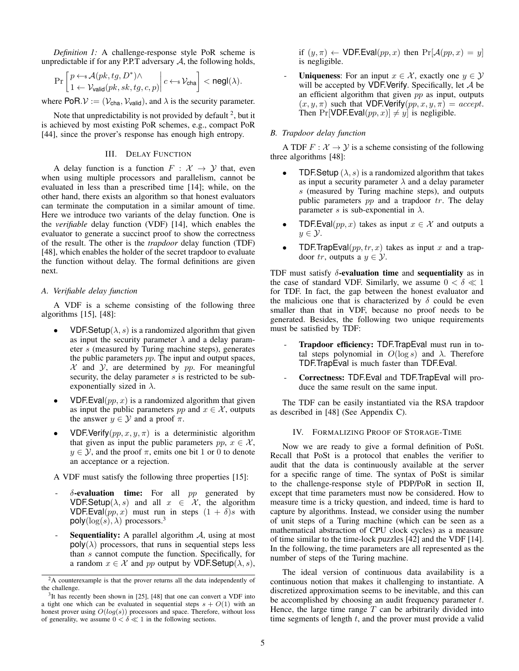*Definition 1:* A challenge-response style PoR scheme is unpredictable if for any P.P.T adversary  $A$ , the following holds,

$$
\Pr\left[\frac{p \leftarrow \mathsf{s}\mathcal{A}(pk, tg, D^*) \wedge}{1 \leftarrow \mathcal{V}_{\mathsf{valid}}(pk, sk, tg, c, p)}\middle| c \leftarrow \mathsf{s}\mathcal{V}_{\mathsf{cha}}\right] < \mathsf{negl}(\lambda).
$$

where PoR. $V := (V_{\text{cha}}, V_{\text{valid}})$ , and  $\lambda$  is the security parameter.

Note that unpredictability is not provided by default  $2$ , but it is achieved by most existing PoR schemes, e.g., compact PoR [\[44\]](#page-13-14), since the prover's response has enough high entropy.

## III. DELAY FUNCTION

A delay function is a function  $F : \mathcal{X} \to \mathcal{Y}$  that, even when using multiple processors and parallelism, cannot be evaluated in less than a prescribed time [\[14\]](#page-13-36); while, on the other hand, there exists an algorithm so that honest evaluators can terminate the computation in a similar amount of time. Here we introduce two variants of the delay function. One is the *verifiable* delay function (VDF) [\[14\]](#page-13-36), which enables the evaluator to generate a succinct proof to show the correctness of the result. The other is the *trapdoor* delay function (TDF) [\[48\]](#page-13-22), which enables the holder of the secret trapdoor to evaluate the function without delay. The formal definitions are given next.

# *A. Verifiable delay function*

A VDF is a scheme consisting of the following three algorithms [\[15\]](#page-13-37), [\[48\]](#page-13-22):

- **VDF.Setup**( $\lambda$ , s) is a randomized algorithm that given as input the security parameter  $\lambda$  and a delay parameter s (measured by Turing machine steps), generates the public parameters pp. The input and output spaces,  $X$  and  $Y$ , are determined by  $pp$ . For meaningful security, the delay parameter  $s$  is restricted to be subexponentially sized in  $\lambda$ .
- VDF.Eval( $pp, x$ ) is a randomized algorithm that given as input the public parameters pp and  $x \in \mathcal{X}$ , outputs the answer  $y \in \mathcal{Y}$  and a proof  $\pi$ .
- VDF. Verify $(pp, x, y, \pi)$  is a deterministic algorithm that given as input the public parameters  $pp, x \in \mathcal{X}$ ,  $y \in \mathcal{Y}$ , and the proof  $\pi$ , emits one bit 1 or 0 to denote an acceptance or a rejection.

A VDF must satisfy the following three properties [\[15\]](#page-13-37):

- $\delta$ -evaluation time: For all pp generated by VDF.Setup( $\lambda$ , s) and all  $x \in \mathcal{X}$ , the algorithm VDF.Eval(pp, x) must run in steps  $(1 + \delta)s$  with  $poly(log(s), \lambda)$  processors.<sup>[3](#page-4-2)</sup>
- **Sequentiality:** A parallel algorithm  $A$ , using at most  $poly(\lambda)$  processors, that runs in sequential steps less than s cannot compute the function. Specifically, for a random  $x \in \mathcal{X}$  and pp output by VDF.Setup( $\lambda$ , s),

if  $(y, \pi) \leftarrow \text{VDF.Eval}(pp, x)$  then  $\Pr[\mathcal{A}(pp, x) = y]$ is negligible.

**Uniqueness:** For an input  $x \in \mathcal{X}$ , exactly one  $y \in \mathcal{Y}$ will be accepted by VDF. Verify. Specifically, let  $A$  be an efficient algorithm that given  $pp$  as input, outputs  $(x, y, \pi)$  such that VDF.Verify $(pp, x, y, \pi) = accept.$ Then Pr[VDF.Eval $(pp, x)$ ]  $\neq$  y] is negligible.

## *B. Trapdoor delay function*

A TDF  $F: \mathcal{X} \to \mathcal{Y}$  is a scheme consisting of the following three algorithms [\[48\]](#page-13-22):

- **TDF.Setup**  $(\lambda, s)$  is a randomized algorithm that takes as input a security parameter  $\lambda$  and a delay parameter s (measured by Turing machine steps), and outputs public parameters  $pp$  and a trapdoor  $tr$ . The delay parameter s is sub-exponential in  $\lambda$ .
- TDF.Eval(pp, x) takes as input  $x \in \mathcal{X}$  and outputs a  $y \in \mathcal{Y}$ .
- **TDF.TrapEval**( $pp, tr, x$ ) takes as input x and a trapdoor tr, outputs a  $y \in \mathcal{Y}$ .

TDF must satisfy  $\delta$ -evaluation time and sequentiality as in the case of standard VDF. Similarly, we assume  $0 < \delta \ll 1$ for TDF. In fact, the gap between the honest evaluator and the malicious one that is characterized by  $\delta$  could be even smaller than that in VDF, because no proof needs to be generated. Besides, the following two unique requirements must be satisfied by TDF:

- Trapdoor efficiency: TDF.TrapEval must run in total steps polynomial in  $O(\log s)$  and  $\lambda$ . Therefore TDF.TrapEval is much faster than TDF.Eval.
- Correctness: TDF.Eval and TDF.TrapEval will produce the same result on the same input.

The TDF can be easily instantiated via the RSA trapdoor as described in [\[48\]](#page-13-22) (See Appendix C).

### IV. FORMALIZING PROOF OF STORAGE-TIME

<span id="page-4-0"></span>Now we are ready to give a formal definition of PoSt. Recall that PoSt is a protocol that enables the verifier to audit that the data is continuously available at the server for a specific range of time. The syntax of PoSt is similar to the challenge-response style of PDP/PoR in section [II,](#page-3-0) except that time parameters must now be considered. How to measure time is a tricky question, and indeed, time is hard to capture by algorithms. Instead, we consider using the number of unit steps of a Turing machine (which can be seen as a mathematical abstraction of CPU clock cycles) as a measure of time similar to the time-lock puzzles [\[42\]](#page-13-39) and the VDF [\[14\]](#page-13-36). In the following, the time parameters are all represented as the number of steps of the Turing machine.

The ideal version of continuous data availability is a continuous notion that makes it challenging to instantiate. A discretized approximation seems to be inevitable, and this can be accomplished by choosing an audit frequency parameter  $t$ . Hence, the large time range  $T$  can be arbitrarily divided into time segments of length  $t$ , and the prover must provide a valid

<span id="page-4-1"></span><sup>&</sup>lt;sup>2</sup>A counterexample is that the prover returns all the data independently of the challenge.

<span id="page-4-2"></span><sup>&</sup>lt;sup>3</sup>It has recently been shown in [\[25\]](#page-13-38), [\[48\]](#page-13-22) that one can convert a VDF into a tight one which can be evaluated in sequential steps  $s + O(1)$  with an honest prover using  $O(log(s))$  processors and space. Therefore, without loss of generality, we assume  $0 < \delta \ll 1$  in the following sections.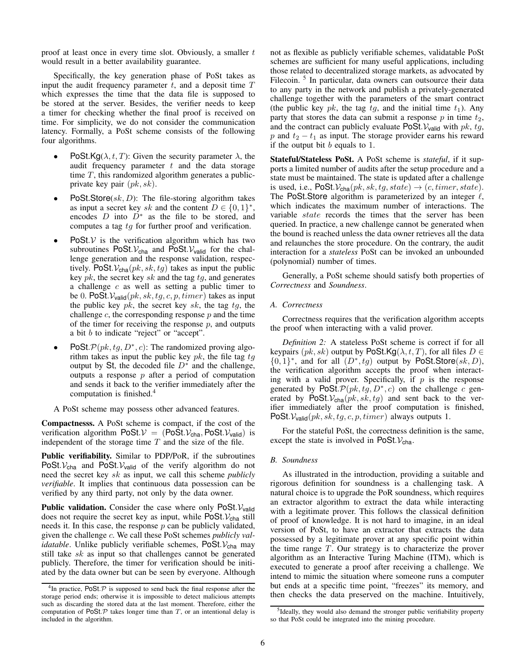proof at least once in every time slot. Obviously, a smaller  $t$ would result in a better availability guarantee.

Specifically, the key generation phase of PoSt takes as input the audit frequency parameter  $t$ , and a deposit time  $T$ which expresses the time that the data file is supposed to be stored at the server. Besides, the verifier needs to keep a timer for checking whether the final proof is received on time. For simplicity, we do not consider the communication latency. Formally, a PoSt scheme consists of the following four algorithms.

- PoSt.Kg( $\lambda$ , t, T): Given the security parameter  $\lambda$ , the audit frequency parameter  $t$  and the data storage time  $T$ , this randomized algorithm generates a publicprivate key pair  $(pk, sk)$ .
- PoSt.Store $(sk, D)$ : The file-storing algorithm takes as input a secret key sk and the content  $D \in \{0,1\}^*$ , encodes D into  $\overrightarrow{D}^*$  as the file to be stored, and computes a tag tg for further proof and verification.
- PoSt. $V$  is the verification algorithm which has two subroutines PoSt. $V_{cha}$  and PoSt. $V_{valid}$  for the challenge generation and the response validation, respectively. PoSt. $V_{cha}(pk, sk, tg)$  takes as input the public key  $pk$ , the secret key  $sk$  and the tag  $tg$ , and generates a challenge  $c$  as well as setting a public timer to be 0. PoSt.  $V_{\text{valid}}(pk, sk, tg, c, p, timer)$  takes as input the public key  $pk$ , the secret key  $sk$ , the tag  $tg$ , the challenge  $c$ , the corresponding response  $p$  and the time of the timer for receiving the response  $p$ , and outputs a bit b to indicate "reject" or "accept".
- PoSt.  $\mathcal{P}(pk, tg, D^*, c)$ : The randomized proving algorithm takes as input the public key  $pk$ , the file tag  $tg$ output by St, the decoded file  $D^*$  and the challenge, outputs a response  $p$  after a period of computation and sends it back to the verifier immediately after the computation is finished.[4](#page-5-0)
- A PoSt scheme may possess other advanced features.

Compactnesss. A PoSt scheme is compact, if the cost of the verification algorithm PoSt. $V = (Po\bar{S}t)$ . PoSt.  $V_{valid}$ ) is independent of the storage time  $T$  and the size of the file.

Public verifiability. Similar to PDP/PoR, if the subroutines PoSt. $V_{\text{cha}}$  and PoSt. $V_{\text{valid}}$  of the verify algorithm do not need the secret key sk as input, we call this scheme *publicly verifiable*. It implies that continuous data possession can be verified by any third party, not only by the data owner.

**Public validation.** Consider the case where only PoSt.  $V_{valid}$ does not require the secret key as input, while  $\text{PoSt.} \mathcal{V}_{\text{cha}}$  still needs it. In this case, the response  $p$  can be publicly validated, given the challenge c. We call these PoSt schemes *publicly validatable*. Unlike publicly verifiable schemes, PoSt. V<sub>cha</sub> may still take  $sk$  as input so that challenges cannot be generated publicly. Therefore, the timer for verification should be initiated by the data owner but can be seen by everyone. Although not as flexible as publicly verifiable schemes, validatable PoSt schemes are sufficient for many useful applications, including those related to decentralized storage markets, as advocated by Filecoin.<sup>[5](#page-5-1)</sup> In particular, data owners can outsource their data to any party in the network and publish a privately-generated challenge together with the parameters of the smart contract (the public key  $pk$ , the tag  $tg$ , and the initial time  $t_1$ ). Any party that stores the data can submit a response  $p$  in time  $t_2$ , and the contract can publicly evaluate PoSt.  $V_{valid}$  with pk, tg, p and  $t_2 - t_1$  as input. The storage provider earns his reward if the output bit  $b$  equals to 1.

Stateful/Stateless PoSt. A PoSt scheme is *stateful*, if it supports a limited number of audits after the setup procedure and a state must be maintained. The state is updated after a challenge is used, i.e.,  $\text{PoSt.}\mathcal{V}_{\text{cha}}(pk, sk, tq, state) \rightarrow (c, timer, state).$ The PoSt. Store algorithm is parameterized by an integer  $\ell$ , which indicates the maximum number of interactions. The variable state records the times that the server has been queried. In practice, a new challenge cannot be generated when the bound is reached unless the data owner retrieves all the data and relaunches the store procedure. On the contrary, the audit interaction for a *stateless* PoSt can be invoked an unbounded (polynomial) number of times.

Generally, a PoSt scheme should satisfy both properties of *Correctness* and *Soundness*.

## *A. Correctness*

Correctness requires that the verification algorithm accepts the proof when interacting with a valid prover.

*Definition 2:* A stateless PoSt scheme is correct if for all keypairs ( $pk, sk$ ) output by PoSt.Kg( $\lambda, t, T$ ), for all files  $D \in$  $\{0,1\}^*$ , and for all  $(D^*, tg)$  output by PoSt.Store $(sk, D)$ , the verification algorithm accepts the proof when interacting with a valid prover. Specifically, if  $p$  is the response generated by PoSt.  $\mathcal{P}(pk, tg, D^*, c)$  on the challenge c generated by PoSt.  $V_{\text{cha}}(pk, sk, tg)$  and sent back to the verifier immediately after the proof computation is finished, PoSt.  $V_{valid}(pk, sk, tg, c, p, timer)$  always outputs 1.

For the stateful PoSt, the correctness definition is the same, except the state is involved in  $\text{PoSt.}\mathcal{V}_{\text{cha}}$ .

#### *B. Soundness*

As illustrated in the introduction, providing a suitable and rigorous definition for soundness is a challenging task. A natural choice is to upgrade the PoR soundness, which requires an extractor algorithm to extract the data while interacting with a legitimate prover. This follows the classical definition of proof of knowledge. It is not hard to imagine, in an ideal version of PoSt, to have an extractor that extracts the data possessed by a legitimate prover at any specific point within the time range T. Our strategy is to characterize the prover algorithm as an Interactive Turing Machine (ITM), which is executed to generate a proof after receiving a challenge. We intend to mimic the situation where someone runs a computer but ends at a specific time point, "freezes" its memory, and then checks the data preserved on the machine. Intuitively,

<span id="page-5-0"></span> ${}^{4}$ In practice, PoSt. $P$  is supposed to send back the final response after the storage period ends; otherwise it is impossible to detect malicious attempts such as discarding the stored data at the last moment. Therefore, either the computation of  $\overline{PoSt}.\mathcal P$  takes longer time than  $T$ , or an intentional delay is included in the algorithm.

<span id="page-5-1"></span><sup>&</sup>lt;sup>5</sup>Ideally, they would also demand the stronger public verifiability property so that PoSt could be integrated into the mining procedure.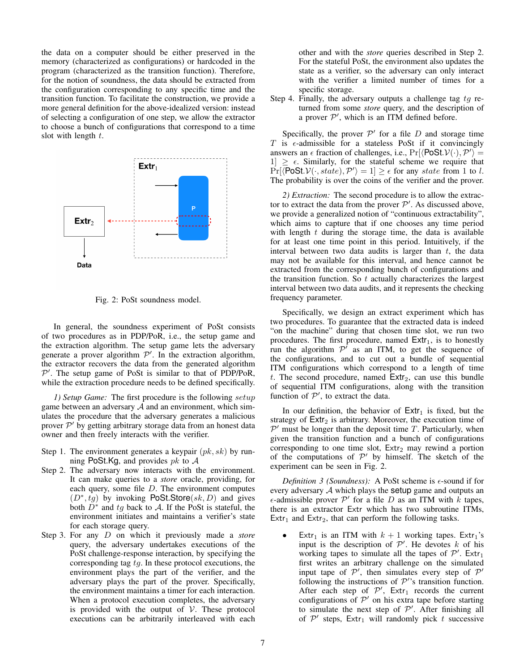the data on a computer should be either preserved in the memory (characterized as configurations) or hardcoded in the program (characterized as the transition function). Therefore, for the notion of soundness, the data should be extracted from the configuration corresponding to any specific time and the transition function. To facilitate the construction, we provide a more general definition for the above-idealized version: instead of selecting a configuration of one step, we allow the extractor to choose a bunch of configurations that correspond to a time slot with length  $t$ .

<span id="page-6-0"></span>

Fig. 2: PoSt soundness model.

In general, the soundness experiment of PoSt consists of two procedures as in PDP/PoR, i.e., the setup game and the extraction algorithm. The setup game lets the adversary generate a prover algorithm  $\mathcal{P}'$ . In the extraction algorithm, the extractor recovers the data from the generated algorithm  $P'$ . The setup game of PoSt is similar to that of PDP/PoR, while the extraction procedure needs to be defined specifically.

*1) Setup Game:* The first procedure is the following setup game between an adversary  $A$  and an environment, which simulates the procedure that the adversary generates a malicious prover  $\mathcal{P}'$  by getting arbitrary storage data from an honest data owner and then freely interacts with the verifier.

- Step 1. The environment generates a keypair  $(pk, sk)$  by running PoSt.Kg, and provides  $pk$  to  $A$
- Step 2. The adversary now interacts with the environment. It can make queries to a *store* oracle, providing, for each query, some file D. The environment computes  $(D^*, \hat{t}g)$  by invoking PoSt.Store $(sk, D)$  and gives both  $\overline{D}^*$  and tg back to A. If the PoSt is stateful, the environment initiates and maintains a verifier's state for each storage query.
- Step 3. For any D on which it previously made a *store* query, the adversary undertakes executions of the PoSt challenge-response interaction, by specifying the corresponding tag tg. In these protocol executions, the environment plays the part of the verifier, and the adversary plays the part of the prover. Specifically, the environment maintains a timer for each interaction. When a protocol execution completes, the adversary is provided with the output of  $V$ . These protocol executions can be arbitrarily interleaved with each

other and with the *store* queries described in Step 2. For the stateful PoSt, the environment also updates the state as a verifier, so the adversary can only interact with the verifier a limited number of times for a specific storage.

Step 4. Finally, the adversary outputs a challenge tag  $tg$  returned from some *store* query, and the description of a prover  $P'$ , which is an ITM defined before.

Specifically, the prover  $\mathcal{P}'$  for a file  $D$  and storage time T is  $\epsilon$ -admissible for a stateless PoSt if it convincingly answers an  $\epsilon$  fraction of challenges, i.e.,  $Pr[\langle \text{PoSt}.\mathcal{V}(\cdot), \mathcal{P}' \rangle] =$  $1] \geq \epsilon$ . Similarly, for the stateful scheme we require that  $Pr[\langle \text{PoSt.} \mathcal{V}(\cdot, state), \mathcal{P}' \rangle = 1] \geq \epsilon \text{ for any state from 1 to } l.$ The probability is over the coins of the verifier and the prover.

*2) Extraction:* The second procedure is to allow the extractor to extract the data from the prover  $\mathcal{P}'$ . As discussed above, we provide a generalized notion of "continuous extractability", which aims to capture that if one chooses any time period with length  $t$  during the storage time, the data is available for at least one time point in this period. Intuitively, if the interval between two data audits is larger than  $t$ , the data may not be available for this interval, and hence cannot be extracted from the corresponding bunch of configurations and the transition function. So  $t$  actually characterizes the largest interval between two data audits, and it represents the checking frequency parameter.

Specifically, we design an extract experiment which has two procedures. To guarantee that the extracted data is indeed "on the machine" during that chosen time slot, we run two procedures. The first procedure, named  $Extr_1$ , is to honestly run the algorithm  $\mathcal{P}'$  as an ITM, to get the sequence of the configurations, and to cut out a bundle of sequential ITM configurations which correspond to a length of time t. The second procedure, named  $Ext_2$ , can use this bundle of sequential ITM configurations, along with the transition function of  $\mathcal{P}'$ , to extract the data.

In our definition, the behavior of  $Extr_1$  is fixed, but the strategy of  $Ext_2$  is arbitrary. Moreover, the execution time of  $\mathcal{P}'$  must be longer than the deposit time T. Particularly, when given the transition function and a bunch of configurations corresponding to one time slot,  $Extr<sub>2</sub>$  may rewind a portion of the computations of  $P'$  by himself. The sketch of the experiment can be seen in Fig. [2.](#page-6-0)

*Definition 3 (Soundness):* A PoSt scheme is  $\epsilon$ -sound if for every adversary A which plays the setup game and outputs an  $\epsilon$ -admissible prover  $\mathcal{P}'$  for a file D as an ITM with  $k$  tapes, there is an extractor Extr which has two subroutine ITMs, Extr<sub>1</sub> and Extr<sub>2</sub>, that can perform the following tasks.

Extr<sub>1</sub> is an ITM with  $k + 1$  working tapes. Extr<sub>1</sub>'s input is the description of  $\mathcal{P}'$ . He devotes k of his working tapes to simulate all the tapes of  $\mathcal{P}'$ . Extr<sub>1</sub> first writes an arbitrary challenge on the simulated input tape of  $\mathcal{P}'$ , then simulates every step of  $\mathcal{P}'$ following the instructions of  $\mathcal{P}'$ 's transition function. After each step of  $\mathcal{P}'$ , Extr<sub>1</sub> records the current configurations of  $\mathcal{P}'$  on his extra tape before starting to simulate the next step of  $\mathcal{P}'$ . After finishing all of  $P'$  steps, Extr<sub>1</sub> will randomly pick t successive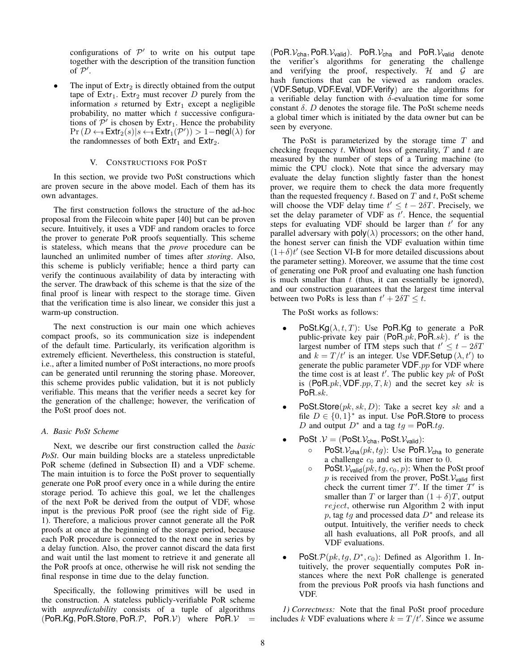configurations of  $P'$  to write on his output tape together with the description of the transition function of  $\mathcal{P}'$ .

The input of  $Extr<sub>2</sub>$  is directly obtained from the output tape of  $Ext_1$ . Extr<sub>2</sub> must recover D purely from the information  $s$  returned by  $Ext_1$  except a negligible probability, no matter which  $t$  successive configurations of  $\mathcal{P}'$  is chosen by Extr<sub>1</sub>. Hence the probability  $Pr(D \leftarrow s \textsf{Extr}_2(s) | s \leftarrow s \textsf{Extr}_1(\mathcal{P}')) > 1-\mathsf{negl}(\lambda)$  for the randomnesses of both  $Extr_1$  and  $Extr_2$ .

## V. CONSTRUCTIONS FOR POST

In this section, we provide two PoSt constructions which are proven secure in the above model. Each of them has its own advantages.

The first construction follows the structure of the ad-hoc proposal from the Filecoin white paper [\[40\]](#page-13-12) but can be proven secure. Intuitively, it uses a VDF and random oracles to force the prover to generate PoR proofs sequentially. This scheme is stateless, which means that the *prove* procedure can be launched an unlimited number of times after *storing*. Also, this scheme is publicly verifiable; hence a third party can verify the continuous availability of data by interacting with the server. The drawback of this scheme is that the size of the final proof is linear with respect to the storage time. Given that the verification time is also linear, we consider this just a warm-up construction.

The next construction is our main one which achieves compact proofs, so its communication size is independent of the default time. Particularly, its verification algorithm is extremely efficient. Nevertheless, this construction is stateful, i.e., after a limited number of PoSt interactions, no more proofs can be generated until rerunning the storing phase. Moreover, this scheme provides public validation, but it is not publicly verifiable. This means that the verifier needs a secret key for the generation of the challenge; however, the verification of the PoSt proof does not.

# *A. Basic PoSt Scheme*

Next, we describe our first construction called the *basic PoSt*. Our main building blocks are a stateless unpredictable PoR scheme (defined in Subsection [II\)](#page-3-0) and a VDF scheme. The main intuition is to force the PoSt prover to sequentially generate one PoR proof every once in a while during the entire storage period. To achieve this goal, we let the challenges of the next PoR be derived from the output of VDF, whose input is the previous PoR proof (see the right side of Fig. [1\)](#page-2-0). Therefore, a malicious prover cannot generate all the PoR proofs at once at the beginning of the storage period, because each PoR procedure is connected to the next one in series by a delay function. Also, the prover cannot discard the data first and wait until the last moment to retrieve it and generate all the PoR proofs at once, otherwise he will risk not sending the final response in time due to the delay function.

Specifically, the following primitives will be used in the construction. A stateless publicly-verifiable PoR scheme with *unpredictability* consists of a tuple of algorithms  $(PoR.Kg, PoR.Store, PoR.P, PoR.V)$  where  $PoR.V =$ 

 $(PoR.V<sub>cha</sub>, PoR.V<sub>valid</sub>)$ . PoR. $V<sub>cha</sub>$  and PoR. $V<sub>valid</sub>$  denote the verifier's algorithms for generating the challenge and verifying the proof, respectively.  $H$  and  $G$  are hash functions that can be viewed as random oracles. (VDF.Setup, VDF.Eval, VDF.Verify) are the algorithms for a verifiable delay function with  $\delta$ -evaluation time for some constant δ.  $D$  denotes the storage file. The PoSt scheme needs a global timer which is initiated by the data owner but can be seen by everyone.

The PoSt is parameterized by the storage time  $T$  and checking frequency  $t$ . Without loss of generality,  $T$  and  $t$  are measured by the number of steps of a Turing machine (to mimic the CPU clock). Note that since the adversary may evaluate the delay function slightly faster than the honest prover, we require them to check the data more frequently than the requested frequency  $t$ . Based on  $T$  and  $t$ , PoSt scheme will choose the VDF delay time  $t' \leq t - 2\delta T$ . Precisely, we set the delay parameter of VDF as  $t'$ . Hence, the sequential steps for evaluating VDF should be larger than  $t'$  for any parallel adversary with  $poly(\lambda)$  processors; on the other hand, the honest server can finish the VDF evaluation within time  $(1+\delta)t'$  (see Section [VI-B](#page-11-1) for more detailed discussions about the parameter setting). Moreover, we assume that the time cost of generating one PoR proof and evaluating one hash function is much smaller than  $t$  (thus, it can essentially be ignored), and our construction guarantees that the largest time interval between two PoRs is less than  $t' + 2\delta T \leq t$ .

The PoSt works as follows:

- PoSt.Kg( $\lambda$ , t, T): Use PoR.Kg to generate a PoR public-private key pair (PoR. $pk$ , PoR. $sk$ ).  $t'$  is the largest number of ITM steps such that  $t' \leq t - 2\delta T$ and  $k = T/t'$  is an integer. Use VDF.Setup  $(\lambda, t')$  to generate the public parameter  $VDF$ .pp for  $VDF$  where the time cost is at least  $t'$ . The public key  $pk$  of PoSt is (PoR.pk, VDF.pp,  $T, k$ ) and the secret key sk is PoR.sk.
- **PoSt.Store** $(pk, sk, D)$ : Take a secret key sk and a file  $D \in \{0,1\}^*$  as input. Use PoR.Store to process D and output  $D^*$  and a tag  $tg = PoR.tg$ .
- PoSt . $V = (PoSt.V<sub>cha</sub>, PoSt.V<sub>valid</sub>)$ :
	- $\circ$  PoSt.  $V_{\text{cha}}(pk, tg)$ : Use PoR.  $V_{\text{cha}}$  to generate a challenge  $c_0$  and set its timer to 0.
	- $\circ$  PoSt.  $V_{\text{valid}}(pk, tg, c_0, p)$ : When the PoSt proof p is received from the prover, PoSt.  $V_{\text{valid}}$  first check the current timer  $T'$ . If the timer  $T'$  is smaller than T or larger than  $(1 + \delta)T$ , output reject, otherwise run Algorithm [2](#page-8-0) with input p, tag tg and processed data  $D^*$  and release its output. Intuitively, the verifier needs to check all hash evaluations, all PoR proofs, and all VDF evaluations.
- PoSt. $\mathcal{P}(pk, tg, D^*, c_0)$ : Defined as Algorithm [1.](#page-8-1) Intuitively, the prover sequentially computes PoR instances where the next PoR challenge is generated from the previous PoR proofs via hash functions and VDF.

*1) Correctness:* Note that the final PoSt proof procedure includes k VDF evaluations where  $k = T/t'$ . Since we assume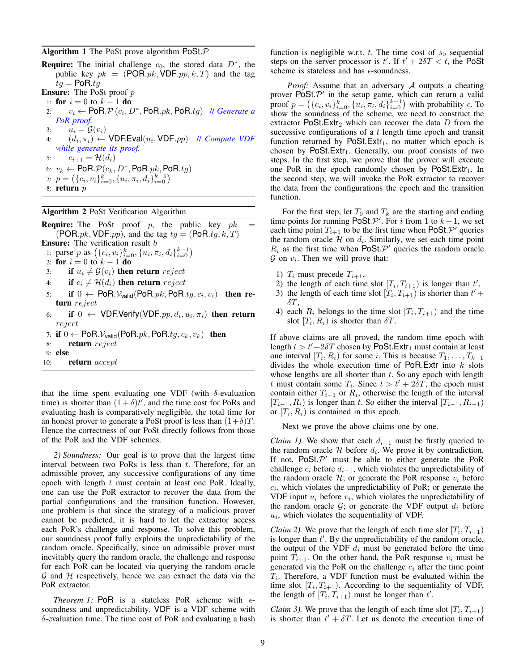## <span id="page-8-1"></span>Algorithm 1 The PoSt prove algorithm PoSt. $P$

**Require:** The initial challenge  $c_0$ , the stored data  $D^*$ , the public key  $pk = (POR.pk, VDF.pp, k, T)$  and the tag  $tg = PoR.tq$ Ensure: The PoSt proof p 1: **for**  $i = 0$  to  $k - 1$  **do** 2:  $v_i \leftarrow \text{PoR}.\mathcal{P}(c_i, D^*, \text{PoR}.pk, \text{PoR}.tg)$  // *Generate a PoR proof.* 3:  $u_i = \mathcal{G}(v_i)$ 4:  $(d_i, \pi_i) \leftarrow \text{VDF.Eval}(u_i, \text{VDF}.pp)$  *Il Compute VDF while generate its proof.* 5:  $c_{i+1} = H(d_i)$ 6:  $v_k \leftarrow \textsf{PoR}.\mathcal{P}(c_k, D^*, \textsf{PoR}.pk, \textsf{PoR}.tg)$ 7:  $p = (\{c_i, v_i\}_{i=0}^k, \{u_i, \pi_i, d_i\}_{i=0}^{k-1})$ 8: return  $p$ 

# <span id="page-8-0"></span>Algorithm 2 PoSt Verification Algorithm

**Require:** The PoSt proof p, the public key  $pk =$ (POR.*pk*, VDF.*pp*), and the tag  $tq = (PoR.tq, k, T)$ **Ensure:** The verification result b 1: parse p as  $(\{c_i, v_i\}_{i=0}^k, \{u_i, \pi_i, d_i\}_{i=0}^{k-1})$ 2: for  $i = 0$  to  $k - 1$  do 3: if  $u_i \neq \mathcal{G}(v_i)$  then return reject 4: if  $c_i \neq \mathcal{H}(d_i)$  then return reject 5: if  $0 \leftarrow \textsf{PoR}.\mathcal{V}_{\textsf{valid}}(\textsf{PoR}.pk, \textsf{PoR}.tg, c_i, v_i)$  then return reject 6: if  $0 \leftarrow \text{VDF.Verify}(\text{VDF}.pp, d_i, u_i, \pi_i)$  then return reject

- 7: if  $0 \leftarrow \text{PoR}.\mathcal{V}_{\text{valid}}(\text{PoR}.pk, \text{PoR}.tg, c_k, v_k)$  then
- 8: return reject
- 9: else
- 10: return *accept*

that the time spent evaluating one VDF (with  $\delta$ -evaluation time) is shorter than  $(1 + \delta)t'$ , and the time cost for PoRs and evaluating hash is comparatively negligible, the total time for an honest prover to generate a PoSt proof is less than  $(1+\delta)T$ . Hence the correctness of our PoSt directly follows from those of the PoR and the VDF schemes.

*2) Soundness:* Our goal is to prove that the largest time interval between two PoRs is less than  $t$ . Therefore, for an admissible prover, any successive configurations of any time epoch with length  $t$  must contain at least one PoR. Ideally, one can use the PoR extractor to recover the data from the partial configurations and the transition function. However, one problem is that since the strategy of a malicious prover cannot be predicted, it is hard to let the extractor access each PoR's challenge and response. To solve this problem, our soundness proof fully exploits the unpredictability of the random oracle. Specifically, since an admissible prover must inevitably query the random oracle, the challenge and response for each PoR can be located via querying the random oracle  $G$  and  $H$  respectively, hence we can extract the data via the PoR extractor.

<span id="page-8-2"></span>*Theorem 1:* PoR is a stateless PoR scheme with  $\epsilon$ soundness and unpredictability. VDF is a VDF scheme with δ-evaluation time. The time cost of PoR and evaluating a hash function is negligible w.r.t. t. The time cost of  $s_0$  sequential steps on the server processor is  $t'$ . If  $t' + 2\delta T < t$ , the PoSt scheme is stateless and has  $\epsilon$ -soundness.

*Proof:* Assume that an adversary A outputs a cheating prover  $\text{PoSt.} \mathcal{P}'$  in the setup game, which can return a valid proof  $p = (\{c_i, v_i\}_{i=0}^k, \{u_i, \pi_i, d_i\}_{i=0}^{k-1})$  with probability  $\epsilon$ . To show the soundness of the scheme, we need to construct the extractor PoSt.Extr<sub>2</sub> which can recover the data  $D$  from the successive configurations of a t length time epoch and transit function returned by  $PoSt.Extr_1$ , no matter which epoch is chosen by  $\text{PoSt}.\text{Extr}_1$ . Generally, our proof consists of two steps. In the first step, we prove that the prover will execute one PoR in the epoch randomly chosen by  $\text{PoSt}.\text{Extr}_1$ . In the second step, we will invoke the PoR extractor to recover the data from the configurations the epoch and the transition function.

For the first step, let  $T_0$  and  $T_k$  are the starting and ending time points for running PoSt.  $\mathcal{P}'$ . For i from 1 to  $k-1$ , we set each time point  $T_{i+1}$  to be the first time when PoSt. P' queries the random oracle  $H$  on  $d_i$ . Similarly, we set each time point  $R_i$  as the first time when PoSt.  $\mathcal{P}'$  queries the random oracle  $\mathcal G$  on  $v_i$ . Then we will prove that:

- 1)  $T_i$  must precede  $T_{i+1}$ ,
- 2) the length of each time slot  $[T_i, T_{i+1}]$  is longer than  $t'$ ,
- 3) the length of each time slot  $[T_i, T_{i+1})$  is shorter than  $t'$  +  $\delta T$ ,
- 4) each  $R_i$  belongs to the time slot  $[T_i, T_{i+1}]$  and the time slot  $[T_i, R_i)$  is shorter than  $\delta T$ .

If above claims are all proved, the random time epoch with length  $t > t' + 2\delta T$  chosen by PoSt.Extr<sub>1</sub> must contain at least one interval  $[T_i, R_i)$  for some *i*. This is because  $T_1, \ldots, T_{k-1}$ divides the whole execution time of  $PoR$ . Extr into  $k$  slots whose lengths are all shorter than  $t$ . So any epoch with length t must contain some  $T_i$ . Since  $t > t' + 2\delta T$ , the epoch must contain either  $T_{i-1}$  or  $R_i$ , otherwise the length of the interval  $[T_{i-1}, R_i)$  is longer than t. So either the interval  $[T_{i-1}, R_{i-1})$ or  $[T_i, R_i)$  is contained in this epoch.

Next we prove the above claims one by one.

*Claim 1).* We show that each  $d_{i-1}$  must be firstly queried to the random oracle  $H$  before  $d_i$ . We prove it by contradiction. If not,  $PoSt.P'$  must be able to either generate the PoR challenge  $c_i$  before  $d_{i-1}$ , which violates the unpredictability of the random oracle  $H$ ; or generate the PoR response  $v_i$  before  $c_i$ , which violates the unpredictability of PoR; or generate the VDF input  $u_i$  before  $v_i$ , which violates the unpredictability of the random oracle  $G$ ; or generate the VDF output  $d_i$  before  $u_i$ , which violates the sequentiality of VDF.

*Claim 2)*. We prove that the length of each time slot  $[T_i, T_{i+1})$ is longer than  $t'$ . By the unpredictability of the random oracle, the output of the VDF  $d_i$  must be generated before the time point  $T_{i+1}$ . On the other hand, the PoR response  $v_i$  must be generated via the PoR on the challenge  $c_i$  after the time point  $T_i$ . Therefore, a VDF function must be evaluated within the time slot  $[T_i, T_{i+1})$ . According to the sequentiality of VDF, the length of  $[T_i, T_{i+1})$  must be longer than t'.

*Claim 3*). We prove that the length of each time slot  $[T_i, T_{i+1}]$ is shorter than  $t' + \delta T$ . Let us denote the execution time of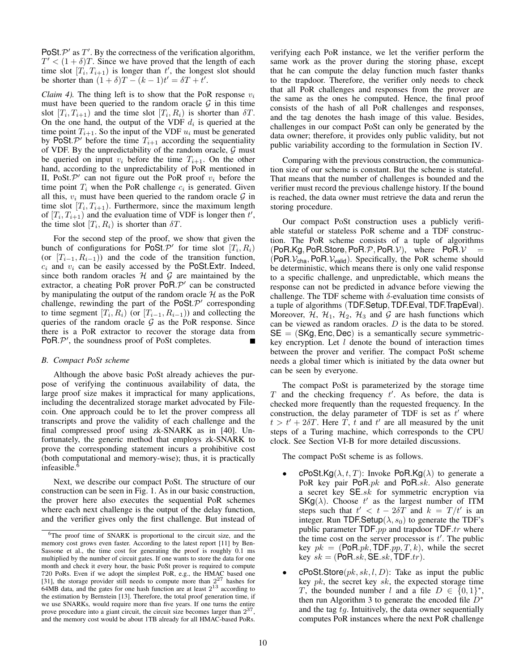PoSt. $P'$  as  $T'$ . By the correctness of the verification algorithm,  $T' < (1 + \delta)T$ . Since we have proved that the length of each time slot  $[T_i, T_{i+1})$  is longer than t', the longest slot should be shorter than  $(1 + \delta)T - (k - 1)t' = \delta T + t'$ .

*Claim 4*). The thing left is to show that the PoR response  $v_i$ must have been queried to the random oracle  $G$  in this time slot  $[T_i, T_{i+1})$  and the time slot  $[T_i, R_i)$  is shorter than  $\delta T$ . On the one hand, the output of the VDF  $d_i$  is queried at the time point  $T_{i+1}$ . So the input of the VDF  $u_i$  must be generated by PoSt.  $\mathcal{P}'$  before the time  $T_{i+1}$  according the sequentiality of VDF. By the unpredictability of the random oracle,  $G$  must be queried on input  $v_i$  before the time  $T_{i+1}$ . On the other hand, according to the unpredictability of PoR mentioned in [II,](#page-3-0) PoSt. $\mathcal{P}'$  can not figure out the PoR proof  $v_i$  before the time point  $T_i$  when the PoR challenge  $c_i$  is generated. Given all this,  $v_i$  must have been queried to the random oracle  $\mathcal G$  in time slot  $[T_i, T_{i+1})$ . Furthermore, since the maximum length of  $[T_i, T_{i+1})$  and the evaluation time of VDF is longer then  $t'$ , the time slot  $[T_i, R_i)$  is shorter than  $\delta T$ .

For the second step of the proof, we show that given the bunch of configurations for  $\overline{PoSt} \mathcal{P}'$  for time slot  $[T_i, R_i)$ (or  $[T_{i-1}, R_{i-1})$ ) and the code of the transition function,  $c_i$  and  $v_i$  can be easily accessed by the PoSt.Extr. Indeed, since both random oracles  $H$  and  $G$  are maintained by the extractor, a cheating PoR prover  $PoR.P'$  can be constructed by manipulating the output of the random oracle  $H$  as the PoR challenge, rewinding the part of the PoSt. $\mathcal{P}'$  corresponding to time segment  $[T_i, R_i)$  (or  $[T_{i-1}, R_{i-1})$ ) and collecting the queries of the random oracle  $G$  as the PoR response. Since there is a PoR extractor to recover the storage data from PoR. $P'$ , the soundness proof of PoSt completes.

## *B. Compact PoSt scheme*

Although the above basic PoSt already achieves the purpose of verifying the continuous availability of data, the large proof size makes it impractical for many applications, including the decentralized storage market advocated by Filecoin. One approach could be to let the prover compress all transcripts and prove the validity of each challenge and the final compressed proof using zk-SNARK as in [\[40\]](#page-13-12). Unfortunately, the generic method that employs zk-SNARK to prove the corresponding statement incurs a prohibitive cost (both computational and memory-wise); thus, it is practically infeasible.[6](#page-9-0)

Next, we describe our compact PoSt. The structure of our construction can be seen in Fig. [1.](#page-2-0) As in our basic construction, the prover here also executes the sequential PoR schemes where each next challenge is the output of the delay function, and the verifier gives only the first challenge. But instead of verifying each PoR instance, we let the verifier perform the same work as the prover during the storing phase, except that he can compute the delay function much faster thanks to the trapdoor. Therefore, the verifier only needs to check that all PoR challenges and responses from the prover are the same as the ones he computed. Hence, the final proof consists of the hash of all PoR challenges and responses, and the tag denotes the hash image of this value. Besides, challenges in our compact PoSt can only be generated by the data owner; therefore, it provides only public validity, but not public variability according to the formulation in Section [IV.](#page-4-0)

Comparing with the previous construction, the communication size of our scheme is constant. But the scheme is stateful. That means that the number of challenges is bounded and the verifier must record the previous challenge history. If the bound is reached, the data owner must retrieve the data and rerun the storing procedure.

Our compact PoSt construction uses a publicly verifiable stateful or stateless PoR scheme and a TDF construction. The PoR scheme consists of a tuple of algorithms  $(PoR.Kg, PoR.S$ tore,  $PoR.P, PoR.V$ , where  $PoR.V$ (PoR. $V_{\text{cha}}$ , PoR. $V_{\text{valid}}$ ). Specifically, the PoR scheme should be deterministic, which means there is only one valid response to a specific challenge, and unpredictable, which means the response can not be predicted in advance before viewing the challenge. The TDF scheme with  $\delta$ -evaluation time consists of a tuple of algorithms (TDF.Setup, TDF.Eval, TDF.TrapEval). Moreover,  $H$ ,  $H_1$ ,  $H_2$ ,  $H_3$  and  $G$  are hash functions which can be viewed as random oracles. D is the data to be stored.  $SE = (SKg, Enc, Dec)$  is a semantically secure symmetrickey encryption. Let  $l$  denote the bound of interaction times between the prover and verifier. The compact PoSt scheme needs a global timer which is initiated by the data owner but can be seen by everyone.

The compact PoSt is parameterized by the storage time  $T$  and the checking frequency  $t'$ . As before, the data is checked more frequently than the requested frequency. In the construction, the delay parameter of TDF is set as  $t'$  where  $t > t' + 2\delta T$ . Here  $\dot{T}$ ,  $\dot{t}$  and  $t'$  are all measured by the unit steps of a Turing machine, which corresponds to the CPU clock. See Section [VI-B](#page-11-1) for more detailed discussions.

The compact PoSt scheme is as follows.

- **cPoSt.Kg**( $\lambda$ , t, T): Invoke PoR.Kg( $\lambda$ ) to generate a PoR key pair PoR. $pk$  and PoR. $sk$ . Also generate a secret key  $SE$ .sk for symmetric encryption via  $SKg(\lambda)$ . Choose t' as the largest number of ITM steps such that  $t' < t - 2\delta T$  and  $k = T/t'$  is an integer. Run TDF.Setup( $\lambda$ ,  $s_0$ ) to generate the TDF's public parameter  $\textsf{TDF}$ .pp and trapdoor  $\textsf{TDF}$ .tr where the time cost on the server processor is  $t'$ . The public key  $pk = (PoR.pk, TDF.pp, T, k)$ , while the secret key  $sk = (PoR.sk, SE.sk, TDF.tr)$ .
- $\mathsf{cPos}$ t.Store $(pk, sk, l, D)$ : Take as input the public key  $pk$ , the secret key  $sk$ , the expected storage time T, the bounded number l and a file  $D \in \{0,1\}^*$ , then run Algorithm [3](#page-10-0) to generate the encoded file  $D^*$ and the tag  $tg$ . Intuitively, the data owner sequentially computes PoR instances where the next PoR challenge

<span id="page-9-0"></span><sup>6</sup>The proof time of SNARK is proportional to the circuit size, and the memory cost grows even faster. According to the latest report [\[11\]](#page-13-40) by Ben-Sassone et al., the time cost for generating the proof is roughly 0.1 ms multiplied by the number of circuit gates. If one wants to store the data for one month and check it every hour, the basic PoSt prover is required to compute 720 PoRs. Even if we adopt the simplest PoR, e.g., the HMAC based one [\[31\]](#page-13-11), the storage provider still needs to compute more than  $2^{27}$  hashes for 64MB data, and the gates for one hash function are at least  $2^{13}$  according to the estimation by Bernstein [\[13\]](#page-13-41). Therefore, the total proof generation time, if we use SNARKs, would require more than five years. If one turns the entire prove procedure into a giant circuit, the circuit size becomes larger than  $2^{37}$ , and the memory cost would be about 1TB already for all HMAC-based PoRs.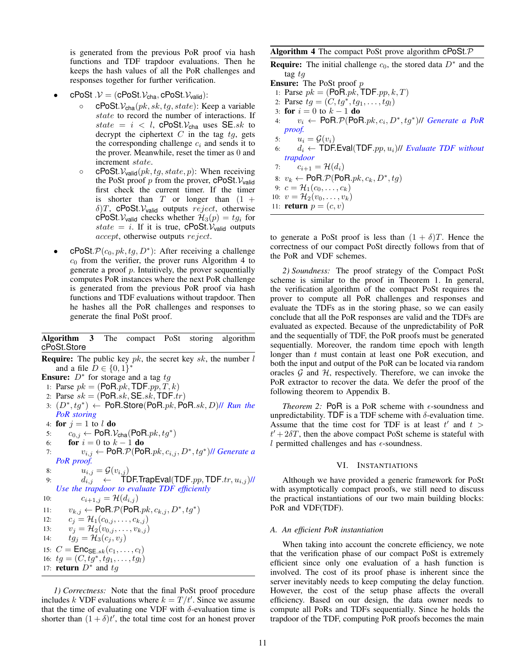is generated from the previous PoR proof via hash functions and TDF trapdoor evaluations. Then he keeps the hash values of all the PoR challenges and responses together for further verification.

- cPoSt  $\mathcal{V} = (c\text{PoSt.}\mathcal{V}_{cha}, c\text{PoSt.}\mathcal{V}_{valid})$ :
	- $c\text{PoSt.}\mathcal{V}_{\text{cha}}(pk, sk, tg, state)$ : Keep a variable state to record the number of interactions. If state =  $i \lt l$ , cPoSt.  $V_{cha}$  uses SE.sk to decrypt the ciphertext  $C$  in the tag  $tg$ , gets the corresponding challenge  $c_i$  and sends it to the prover. Meanwhile, reset the timer as 0 and increment state.
	- $\circ$  cPoSt.  $V_{\text{valid}}(pk, tg, state, p)$ : When receiving the PoSt proof p from the prover,  $c$ PoSt. $V_{\text{valid}}$ first check the current timer. If the timer is shorter than  $T$  or longer than  $(1 +$  $\delta$ )T, cPoSt.  $V_{\text{valid}}$  outputs reject, otherwise cPoSt.  $V_{valid}$  checks whether  $\mathcal{H}_3(p) = tg_i$  for state = i. If it is true, cPoSt.  $V_{valid}$  outputs accept, otherwise outputs reject.
- cPoSt.  $\mathcal{P}(c_0, pk, tg, D^*)$ : After receiving a challenge  $c_0$  from the verifier, the prover runs Algorithm [4](#page-10-1) to generate a proof  $p$ . Intuitively, the prover sequentially computes PoR instances where the next PoR challenge is generated from the previous PoR proof via hash functions and TDF evaluations without trapdoor. Then he hashes all the PoR challenges and responses to generate the final PoSt proof.

# <span id="page-10-0"></span>Algorithm 3 The compact PoSt storing algorithm cPoSt.Store

**Require:** The public key  $pk$ , the secret key  $sk$ , the number  $l$ and a file  $D \in \{0, 1\}^*$ 

**Ensure:**  $D^*$  for storage and a tag  $tg$ 

```
1: Parse pk = (PoR.pk, TDF.pp, T, k)
```

```
2: Parse sk = (PoR.\sk, SE.\sk, TDF.\tr{tr})
```
- 3:  $(D^*, tg^*)$  ← PoR.Store(PoR.pk, PoR.sk, D)// *Run the PoR storing*
- 4: for  $j = 1$  to l do

$$
\mathbf{5:} \qquad c_{0,j} \leftarrow \text{PoR}.\mathcal{V}_{\text{cha}}(\text{PoR}.pk, tg^*)
$$

- 6: **for**  $i = 0$  to  $k 1$  **do**
- 7:  $v_{i,j}$  ← PoR. $P$ (PoR. $pk$ ,  $c_{i,j}$ ,  $D^*$ ,  $tg^*$ )// *Generate a PoR proof.*
- 8:  $u_{i,j} = \mathcal{G}(v_{i,j})$
- 9:  $d_{i,j}$  ← TDF.TrapEval(TDF. $pp, \mathsf{TDF}.tr, u_{i,j}$ )// *Use the trapdoor to evaluate TDF efficiently*

10:  $c_{i+1,j} = \mathcal{H}(d_{i,j})$ 11:  $v_{k,j} \leftarrow \text{PoR}.\mathcal{P}(\text{PoR}.pk, c_{k,j}, D^*, tg^*)$ 12:  $c_j = \mathcal{H}_1(c_{0,j}, \ldots, c_{k,j})$ 13:  $v_j = \mathcal{H}_2(v_{0,j}, \ldots, v_{k,j})$ 

14:  $tg_j = H_3(c_j, v_j)$ 

15:  $C = \textsf{Enc}_{\textsf{SE}.sk}(c_1, ..., c_l)$ 16:  $tg = (C, tg^*, tg_1, \ldots, tg_l)$ 

17: **return**  $D^*$  and  $tg$ 

*1) Correctness:* Note that the final PoSt proof procedure includes k VDF evaluations where  $k = T/t'$ . Since we assume that the time of evaluating one VDF with  $\delta$ -evaluation time is shorter than  $(1 + \delta)t'$ , the total time cost for an honest prover

# <span id="page-10-1"></span>Algorithm 4 The compact PoSt prove algorithm cPoSt.P

**Require:** The initial challenge  $c_0$ , the stored data  $D^*$  and the tag tg

Ensure: The PoSt proof p

- 1: Parse  $pk = (PoR.pk, TDF.pp, k, T)$
- 2: Parse  $tg = (C, tg^*, tg_1, \ldots, tg_l)$
- 3: for  $i = 0$  to  $k 1$  do
- 4:  $v_i$  ← PoR. $P(\text{PoR}.pk, c_i, D^*, tg^*)$ // *Generate a PoR proof.*
- 5:  $u_i = \mathcal{G}(v_i)$
- 6:  $d_i \leftarrow \text{TDF.Eval}(\text{TDF}.pp, u_i)$ // *Evaluate TDF without trapdoor*
- 7:  $c_{i+1} = H(d_i)$
- 8:  $v_k \leftarrow \text{PoR}.\mathcal{P}(\text{PoR}.pk, c_k, D^*, tg)$
- 9:  $c = \mathcal{H}_1(c_0, \ldots, c_k)$
- 10:  $v = \mathcal{H}_2(v_0, \ldots, v_k)$
- 11: **return**  $p = (c, v)$

to generate a PoSt proof is less than  $(1 + \delta)T$ . Hence the correctness of our compact PoSt directly follows from that of the PoR and VDF schemes.

*2) Soundness:* The proof strategy of the Compact PoSt scheme is similar to the proof in Theorem [1.](#page-8-2) In general, the verification algorithm of the compact PoSt requires the prover to compute all PoR challenges and responses and evaluate the TDFs as in the storing phase, so we can easily conclude that all the PoR responses are valid and the TDFs are evaluated as expected. Because of the unpredictability of PoR and the sequentially of TDF, the PoR proofs must be generated sequentially. Moreover, the random time epoch with length longer than t must contain at least one PoR execution, and both the input and output of the PoR can be located via random oracles  $G$  and  $H$ , respectively. Therefore, we can invoke the PoR extractor to recover the data. We defer the proof of the following theorem to Appendix B.

*Theorem 2:* PoR is a PoR scheme with  $\epsilon$ -soundness and unpredictability. TDF is a TDF scheme with  $\delta$ -evaluation time. Assume that the time cost for TDF is at least  $t'$  and  $t >$  $t' + 2\delta T$ , then the above compact PoSt scheme is stateful with  $l$  permitted challenges and has  $\epsilon$ -soundness.

## VI. INSTANTIATIONS

Although we have provided a generic framework for PoSt with asymptotically compact proofs, we still need to discuss the practical instantiations of our two main building blocks: PoR and VDF(TDF).

# *A. An efficient PoR instantiation*

When taking into account the concrete efficiency, we note that the verification phase of our compact PoSt is extremely efficient since only one evaluation of a hash function is involved. The cost of its proof phase is inherent since the server inevitably needs to keep computing the delay function. However, the cost of the setup phase affects the overall efficiency. Based on our design, the data owner needs to compute all PoRs and TDFs sequentially. Since he holds the trapdoor of the TDF, computing PoR proofs becomes the main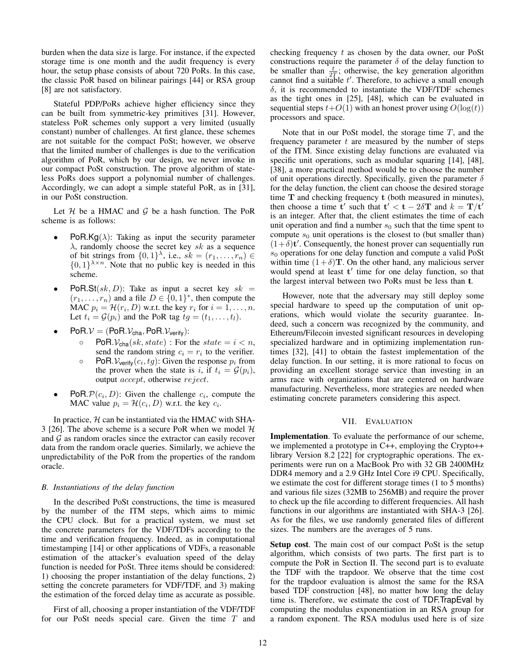burden when the data size is large. For instance, if the expected storage time is one month and the audit frequency is every hour, the setup phase consists of about 720 PoRs. In this case, the classic PoR based on bilinear pairings [\[44\]](#page-13-14) or RSA group [\[8\]](#page-13-10) are not satisfactory.

Stateful PDP/PoRs achieve higher efficiency since they can be built from symmetric-key primitives [\[31\]](#page-13-11). However, stateless PoR schemes only support a very limited (usually constant) number of challenges. At first glance, these schemes are not suitable for the compact PoSt; however, we observe that the limited number of challenges is due to the verification algorithm of PoR, which by our design, we never invoke in our compact PoSt construction. The prove algorithm of stateless PoRs does support a polynomial number of challenges. Accordingly, we can adopt a simple stateful PoR, as in [\[31\]](#page-13-11), in our PoSt construction.

Let  $H$  be a HMAC and  $G$  be a hash function. The PoR scheme is as follows:

- **PoR.Kg** $(\lambda)$ : Taking as input the security parameter  $\lambda$ , randomly choose the secret key sk as a sequence of bit strings from  $\{0,1\}^{\lambda}$ , i.e.,  $sk = (r_1, \ldots, r_n) \in$  $\{0,1\}^{\lambda \times n}$ . Note that no public key is needed in this scheme.
- **PoR.St** $(sk, D)$ : Take as input a secret key  $sk =$  $(r_1, \ldots, r_n)$  and a file  $D \in \{0, 1\}^*$ , then compute the MAC  $p_i = \mathcal{H}(r_i, D)$  w.r.t. the key  $r_i$  for  $i = 1, \dots, n$ . Let  $t_i = \mathcal{G}(p_i)$  and the PoR tag  $tg = (t_1, \ldots, t_l)$ .
- $PoR.V = (PoR.V<sub>cha</sub>, PoR.V<sub>verify</sub>)$ :
	- $\circ$  PoR.  $\mathcal{V}_{\text{cha}}(sk, state)$ : For the  $state = i \lt n$ , send the random string  $c_i = r_i$  to the verifier.
	- $\circ$  PoR.  $\mathcal{V}_{\text{verify}}(c_i, tg)$ : Given the response  $p_i$  from the prover when the state is i, if  $t_i = \mathcal{G}(p_i)$ , output accept, otherwise reject.
- PoR.  $\mathcal{P}(c_i, D)$ : Given the challenge  $c_i$ , compute the MAC value  $p_i = \mathcal{H}(c_i, D)$  w.r.t. the key  $c_i$ .

In practice,  $H$  can be instantiated via the HMAC with SHA-3 [\[26\]](#page-13-42). The above scheme is a secure PoR when we model  $H$ and  $G$  as random oracles since the extractor can easily recover data from the random oracle queries. Similarly, we achieve the unpredictability of the PoR from the properties of the random oracle.

## <span id="page-11-1"></span>*B. Instantiations of the delay function*

In the described PoSt constructions, the time is measured by the number of the ITM steps, which aims to mimic the CPU clock. But for a practical system, we must set the concrete parameters for the VDF/TDFs according to the time and verification frequency. Indeed, as in computational timestamping [\[14\]](#page-13-36) or other applications of VDFs, a reasonable estimation of the attacker's evaluation speed of the delay function is needed for PoSt. Three items should be considered: 1) choosing the proper instantiation of the delay functions, 2) setting the concrete parameters for VDF/TDF, and 3) making the estimation of the forced delay time as accurate as possible.

First of all, choosing a proper instantiation of the VDF/TDF for our PoSt needs special care. Given the time T and checking frequency t as chosen by the data owner, our PoSt constructions require the parameter  $\delta$  of the delay function to be smaller than  $\frac{t}{2T}$ ; otherwise, the key generation algorithm cannot find a suitable  $t'$ . Therefore, to achieve a small enough  $\delta$ , it is recommended to instantiate the VDF/TDF schemes as the tight ones in [\[25\]](#page-13-38), [\[48\]](#page-13-22), which can be evaluated in sequential steps  $t+O(1)$  with an honest prover using  $O(log(t))$ processors and space.

Note that in our PoSt model, the storage time  $T$ , and the frequency parameter  $t$  are measured by the number of steps of the ITM. Since existing delay functions are evaluated via specific unit operations, such as modular squaring [\[14\]](#page-13-36), [\[48\]](#page-13-22), [\[38\]](#page-13-43), a more practical method would be to choose the number of unit operations directly. Specifically, given the parameter  $\delta$ for the delay function, the client can choose the desired storage time T and checking frequency t (both measured in minutes), then choose a time t' such that  $t' < t - 2\delta T$  and  $k = T/t'$ is an integer. After that, the client estimates the time of each unit operation and find a number  $s_0$  such that the time spent to compute  $s_0$  unit operations is the closest to (but smaller than)  $(1+\delta)$ t'. Consequently, the honest prover can sequentially run  $s<sub>0</sub>$  operations for one delay function and compute a valid PoSt within time  $(1+\delta)$ **T**. On the other hand, any malicious server would spend at least t' time for one delay function, so that the largest interval between two PoRs must be less than t.

However, note that the adversary may still deploy some special hardware to speed up the computation of unit operations, which would violate the security guarantee. Indeed, such a concern was recognized by the community, and Ethereum/Filecoin invested significant resources in developing specialized hardware and in optimizing implementation runtimes [\[32\]](#page-13-44), [\[41\]](#page-13-45) to obtain the fastest implementation of the delay function. In our setting, it is more rational to focus on providing an excellent storage service than investing in an arms race with organizations that are centered on hardware manufacturing. Nevertheless, more strategies are needed when estimating concrete parameters considering this aspect.

## VII. EVALUATION

<span id="page-11-0"></span>Implementation. To evaluate the performance of our scheme, we implemented a prototype in C++, employing the Crypto++ library Version 8.2 [\[22\]](#page-13-46) for cryptographic operations. The experiments were run on a MacBook Pro with 32 GB 2400MHz DDR4 memory and a 2.9 GHz Intel Core i9 CPU. Specifically, we estimate the cost for different storage times (1 to 5 months) and various file sizes (32MB to 256MB) and require the prover to check up the file according to different frequencies. All hash functions in our algorithms are instantiated with SHA-3 [\[26\]](#page-13-42). As for the files, we use randomly generated files of different sizes. The numbers are the averages of 5 runs.

Setup cost. The main cost of our compact PoSt is the setup algorithm, which consists of two parts. The first part is to compute the PoR in Section [II.](#page-3-0) The second part is to evaluate the TDF with the trapdoor. We observe that the time cost for the trapdoor evaluation is almost the same for the RSA based TDF construction [\[48\]](#page-13-22), no matter how long the delay time is. Therefore, we estimate the cost of TDF.TrapEval by computing the modulus exponentiation in an RSA group for a random exponent. The RSA modulus used here is of size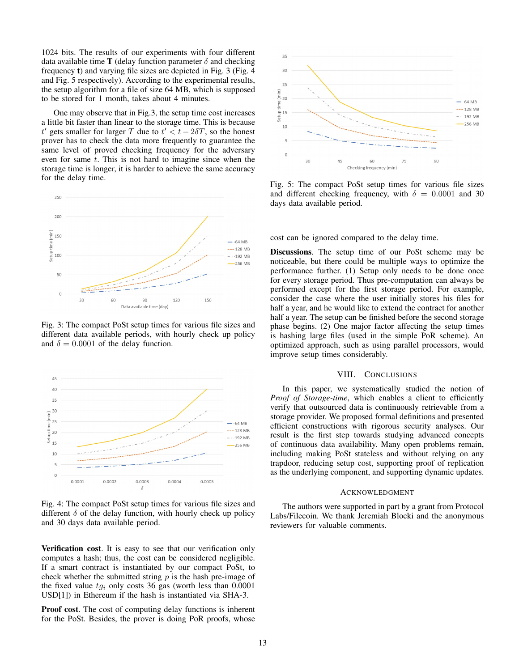1024 bits. The results of our experiments with four different data available time **T** (delay function parameter  $\delta$  and checking frequency t) and varying file sizes are depicted in Fig. [3](#page-12-0) (Fig. [4](#page-12-1) and Fig. [5](#page-12-2) respectively). According to the experimental results, the setup algorithm for a file of size 64 MB, which is supposed to be stored for 1 month, takes about 4 minutes.

One may observe that in Fig[.3,](#page-12-0) the setup time cost increases a little bit faster than linear to the storage time. This is because t' gets smaller for larger T due to  $t' < t - 2\delta T$ , so the honest prover has to check the data more frequently to guarantee the same level of proved checking frequency for the adversary even for same  $t$ . This is not hard to imagine since when the storage time is longer, it is harder to achieve the same accuracy for the delay time.

<span id="page-12-0"></span>

Fig. 3: The compact PoSt setup times for various file sizes and different data available periods, with hourly check up policy and  $\delta = 0.0001$  of the delay function.

<span id="page-12-1"></span>

Fig. 4: The compact PoSt setup times for various file sizes and different  $\delta$  of the delay function, with hourly check up policy and 30 days data available period.

Verification cost. It is easy to see that our verification only computes a hash; thus, the cost can be considered negligible. If a smart contract is instantiated by our compact PoSt, to check whether the submitted string  $p$  is the hash pre-image of the fixed value  $t g_i$  only costs 36 gas (worth less than 0.0001 USD[\[1\]](#page-13-47)) in Ethereum if the hash is instantiated via SHA-3.

Proof cost. The cost of computing delay functions is inherent for the PoSt. Besides, the prover is doing PoR proofs, whose

<span id="page-12-2"></span>

Fig. 5: The compact PoSt setup times for various file sizes and different checking frequency, with  $\delta = 0.0001$  and 30 days data available period.

cost can be ignored compared to the delay time.

Discussions. The setup time of our PoSt scheme may be noticeable, but there could be multiple ways to optimize the performance further. (1) Setup only needs to be done once for every storage period. Thus pre-computation can always be performed except for the first storage period. For example, consider the case where the user initially stores his files for half a year, and he would like to extend the contract for another half a year. The setup can be finished before the second storage phase begins. (2) One major factor affecting the setup times is hashing large files (used in the simple PoR scheme). An optimized approach, such as using parallel processors, would improve setup times considerably.

#### VIII. CONCLUSIONS

In this paper, we systematically studied the notion of *Proof of Storage-time*, which enables a client to efficiently verify that outsourced data is continuously retrievable from a storage provider. We proposed formal definitions and presented efficient constructions with rigorous security analyses. Our result is the first step towards studying advanced concepts of continuous data availability. Many open problems remain, including making PoSt stateless and without relying on any trapdoor, reducing setup cost, supporting proof of replication as the underlying component, and supporting dynamic updates.

#### ACKNOWLEDGMENT

The authors were supported in part by a grant from Protocol Labs/Filecoin. We thank Jeremiah Blocki and the anonymous reviewers for valuable comments.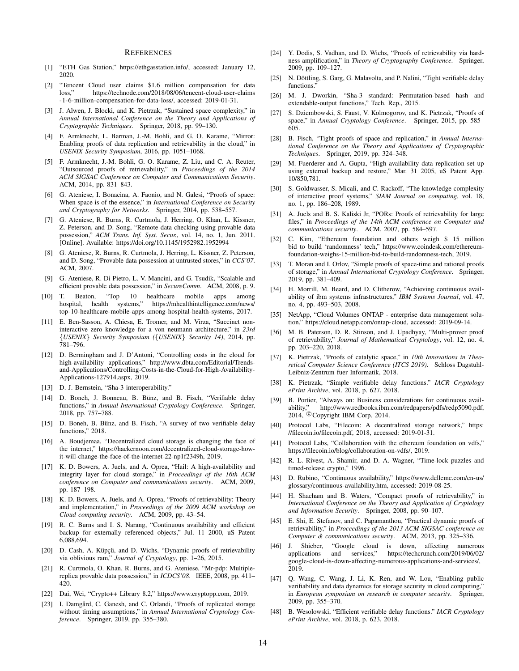#### **REFERENCES**

- <span id="page-13-47"></span>[1] "ETH Gas Station," [https://ethgasstation.info/,](https://ethgasstation.info/) accessed: January 12, 2020.
- <span id="page-13-1"></span>[2] "Tencent Cloud user claims \$1.6 million compensation for data loss," <https://technode.com/2018/08/06/tencent-cloud-user-claims> [-1-6-million-compensation-for-data-loss/,](-1-6-million-compensation-for-data-loss/ ) accessed: 2019-01-31.
- <span id="page-13-34"></span>[3] J. Alwen, J. Blocki, and K. Pietrzak, "Sustained space complexity," in *Annual International Conference on the Theory and Applications of Cryptographic Techniques*. Springer, 2018, pp. 99–130.
- <span id="page-13-26"></span>[4] F. Armknecht, L. Barman, J.-M. Bohli, and G. O. Karame, "Mirror: Enabling proofs of data replication and retrievability in the cloud," in *USENIX Security Symposium*, 2016, pp. 1051–1068.
- <span id="page-13-18"></span>[5] F. Armknecht, J.-M. Bohli, G. O. Karame, Z. Liu, and C. A. Reuter, "Outsourced proofs of retrievability," in *Proceedings of the 2014 ACM SIGSAC Conference on Computer and Communications Security*. ACM, 2014, pp. 831–843.
- <span id="page-13-32"></span>[6] G. Ateniese, I. Bonacina, A. Faonio, and N. Galesi, "Proofs of space: When space is of the essence," in *International Conference on Security and Cryptography for Networks*. Springer, 2014, pp. 538–557.
- <span id="page-13-20"></span>[7] G. Ateniese, R. Burns, R. Curtmola, J. Herring, O. Khan, L. Kissner, Z. Peterson, and D. Song, "Remote data checking using provable data possession," *ACM Trans. Inf. Syst. Secur.*, vol. 14, no. 1, Jun. 2011. [Online]. Available: <https://doi.org/10.1145/1952982.1952994>
- <span id="page-13-10"></span>[8] G. Ateniese, R. Burns, R. Curtmola, J. Herring, L. Kissner, Z. Peterson, and D. Song, "Provable data possession at untrusted stores," in *CCS'07*. ACM, 2007.
- <span id="page-13-15"></span>[9] G. Ateniese, R. Di Pietro, L. V. Mancini, and G. Tsudik, "Scalable and efficient provable data possession," in *SecureComm*. ACM, 2008, p. 9.
- <span id="page-13-2"></span>[10] T. Beaton, "Top 10 healthcare mobile apps among hospital, health systems," [https://mhealthintelligence.com/news/]( https://mhealthintelligence.com/news/top-10-healthcare-mobile-apps-among-hospital-health-systems ) [top-10-healthcare-mobile-apps-among-hospital-health-systems,]( https://mhealthintelligence.com/news/top-10-healthcare-mobile-apps-among-hospital-health-systems ) 2017.
- <span id="page-13-40"></span>[11] E. Ben-Sasson, A. Chiesa, E. Tromer, and M. Virza, "Succinct noninteractive zero knowledge for a von neumann architecture," in *23rd* {*USENIX*} *Security Symposium (*{*USENIX*} *Security 14)*, 2014, pp. 781–796.
- <span id="page-13-8"></span>[12] D. Bermingham and J. D'Antoni, "Controlling costs in the cloud for high-availability applications," http://www.dbta.com/Editorial/Trendsand-Applications/Controlling-Costs-in-the-Cloud-for-High-Availability-Applications-127914.aspx, 2019.
- <span id="page-13-41"></span>[13] D. J. Bernstein, "Sha-3 interoperability."
- <span id="page-13-36"></span>[14] D. Boneh, J. Bonneau, B. Bünz, and B. Fisch, "Verifiable delay functions," in *Annual International Cryptology Conference*. Springer, 2018, pp. 757–788.
- <span id="page-13-37"></span>[15] D. Boneh, B. Bünz, and B. Fisch, "A survey of two verifiable delay functions," 2018.
- <span id="page-13-13"></span>[16] A. Boudjemaa, "Decentralized cloud storage is changing the face of the internet," https://hackernoon.com/decentralized-cloud-storage-howit-will-change-the-face-of-the-internet-22-np1f2349h, 2019.
- <span id="page-13-16"></span>[17] K. D. Bowers, A. Juels, and A. Oprea, "Hail: A high-availability and integrity layer for cloud storage," in *Proceedings of the 16th ACM conference on Computer and communications security*. ACM, 2009, pp. 187–198.
- <span id="page-13-23"></span>[18] K. D. Bowers, A. Juels, and A. Oprea, "Proofs of retrievability: Theory and implementation," in *Proceedings of the 2009 ACM workshop on Cloud computing security*. ACM, 2009, pp. 43–54.
- <span id="page-13-5"></span>[19] R. C. Burns and I. S. Narang, "Continuous availability and efficient backup for externally referenced objects," Jul. 11 2000, uS Patent 6,088,694.
- <span id="page-13-19"></span>[20] D. Cash, A. Küpçü, and D. Wichs, "Dynamic proofs of retrievability via oblivious ram," *Journal of Cryptology*, pp. 1–26, 2015.
- <span id="page-13-27"></span>[21] R. Curtmola, O. Khan, R. Burns, and G. Ateniese, "Mr-pdp: Multiplereplica provable data possession," in *ICDCS'08*. IEEE, 2008, pp. 411– 420.
- <span id="page-13-46"></span>[22] Dai, Wei, "Crypto++ Library 8.2," [https://www.cryptopp.com,](https://www.cryptopp.com) 2019.
- <span id="page-13-31"></span>[23] I. Damgård, C. Ganesh, and C. Orlandi, "Proofs of replicated storage without timing assumptions," in *Annual International Cryptology Conference*. Springer, 2019, pp. 355–380.
- <span id="page-13-24"></span>[24] Y. Dodis, S. Vadhan, and D. Wichs, "Proofs of retrievability via hardness amplification," in *Theory of Cryptography Conference*. Springer, 2009, pp. 109–127.
- <span id="page-13-38"></span>[25] N. Döttling, S. Garg, G. Malavolta, and P. Nalini, "Tight verifiable delay functions."
- <span id="page-13-42"></span>[26] M. J. Dworkin, "Sha-3 standard: Permutation-based hash and extendable-output functions," Tech. Rep., 2015.
- <span id="page-13-33"></span>[27] S. Dziembowski, S. Faust, V. Kolmogorov, and K. Pietrzak, "Proofs of space," in *Annual Cryptology Conference*. Springer, 2015, pp. 585– 605.
- <span id="page-13-30"></span>[28] B. Fisch, "Tight proofs of space and replication," in *Annual International Conference on the Theory and Applications of Cryptographic Techniques*. Springer, 2019, pp. 324–348.
- <span id="page-13-6"></span>[29] M. Fuerderer and A. Gupta, "High availability data replication set up using external backup and restore," Mar. 31 2005, uS Patent App. 10/850,781.
- <span id="page-13-35"></span>[30] S. Goldwasser, S. Micali, and C. Rackoff, "The knowledge complexity of interactive proof systems," *SIAM Journal on computing*, vol. 18, no. 1, pp. 186–208, 1989.
- <span id="page-13-11"></span>[31] A. Juels and B. S. Kaliski Jr, "PORs: Proofs of retrievability for large files," in *Proceedings of the 14th ACM conference on Computer and communications security*. ACM, 2007, pp. 584–597.
- <span id="page-13-44"></span>[32] C. Kim, "Ethereum foundation and others weigh \$ 15 million bid to build 'randomness' tech," https://www.coindesk.com/ethereumfoundation-weighs-15-million-bid-to-build-randomness-tech, 2019.
- <span id="page-13-21"></span>[33] T. Moran and I. Orlov, "Simple proofs of space-time and rational proofs of storage," in *Annual International Cryptology Conference*. Springer, 2019, pp. 381–409.
- <span id="page-13-7"></span>[34] H. Morrill, M. Beard, and D. Clitherow, "Achieving continuous availability of ibm systems infrastructures," *IBM Systems Journal*, vol. 47, no. 4, pp. 493–503, 2008.
- <span id="page-13-9"></span>[35] NetApp, "Cloud Volumes ONTAP - enterprise data management solution," [https://cloud.netapp.com/ontap-cloud,]( https://cloud.netapp.com/ontap-cloud) accessed: 2019-09-14.
- <span id="page-13-28"></span>[36] M. B. Paterson, D. R. Stinson, and J. Upadhyay, "Multi-prover proof of retrievability," *Journal of Mathematical Cryptology*, vol. 12, no. 4, pp. 203–220, 2018.
- <span id="page-13-29"></span>[37] K. Pietrzak, "Proofs of catalytic space," in *10th Innovations in Theoretical Computer Science Conference (ITCS 2019)*. Schloss Dagstuhl-Leibniz-Zentrum fuer Informatik, 2018.
- <span id="page-13-43"></span>[38] K. Pietrzak, "Simple verifiable delay functions." *IACR Cryptology ePrint Archive*, vol. 2018, p. 627, 2018.
- <span id="page-13-4"></span>[39] B. Portier, "Always on: Business considerations for continuous availability," [http://www.redbooks.ibm.com/redpapers/pdfs/redp5090.pdf,]( http://www.redbooks.ibm.com/redpapers/pdfs/redp5090.pdf) 2014, <sup>c</sup> Copyright IBM Corp. 2014.
- <span id="page-13-12"></span>[40] Protocol Labs, "Filecoin: A decentralized storage network," [https:]( https://filecoin.io/filecoin.pdf) [//filecoin.io/filecoin.pdf,]( https://filecoin.io/filecoin.pdf) 2018, accessed: 2019-01-31.
- <span id="page-13-45"></span>[41] Protocol Labs, "Collaboration with the ethereum foundation on vdfs," https://filecoin.io/blog/collaboration-on-vdfs/, 2019.
- <span id="page-13-39"></span>[42] R. L. Rivest, A. Shamir, and D. A. Wagner, "Time-lock puzzles and timed-release crypto," 1996.
- <span id="page-13-3"></span>[43] D. Rubino, "Continuous availability," [https://www.dellemc.com/en-us/](https://www.dellemc.com/en-us/glossary/continuous-availability.htm) [glossary/continuous-availability.htm,](https://www.dellemc.com/en-us/glossary/continuous-availability.htm) accessed: 2019-08-25.
- <span id="page-13-14"></span>[44] H. Shacham and B. Waters, "Compact proofs of retrievability," in *International Conference on the Theory and Application of Cryptology and Information Security*. Springer, 2008, pp. 90–107.
- <span id="page-13-17"></span>[45] E. Shi, E. Stefanov, and C. Papamanthou, "Practical dynamic proofs of retrievability," in *Proceedings of the 2013 ACM SIGSAC conference on Computer & communications security*. ACM, 2013, pp. 325–336.
- <span id="page-13-0"></span>[46] J. Shieber, "Google cloud is down, affecting numerous applications and services," [https://techcrunch.com/2019/06/02/]( https://techcrunch.com/2019/06/02/google-cloud-is-down-affecting-numerous-applications-and-services/ ) [google-cloud-is-down-affecting-numerous-applications-and-services/,]( https://techcrunch.com/2019/06/02/google-cloud-is-down-affecting-numerous-applications-and-services/ ) 2019.
- <span id="page-13-25"></span>[47] Q. Wang, C. Wang, J. Li, K. Ren, and W. Lou, "Enabling public verifiability and data dynamics for storage security in cloud computing," in *European symposium on research in computer security*. Springer, 2009, pp. 355–370.
- <span id="page-13-22"></span>[48] B. Wesolowski, "Efficient verifiable delay functions." *IACR Cryptology ePrint Archive*, vol. 2018, p. 623, 2018.